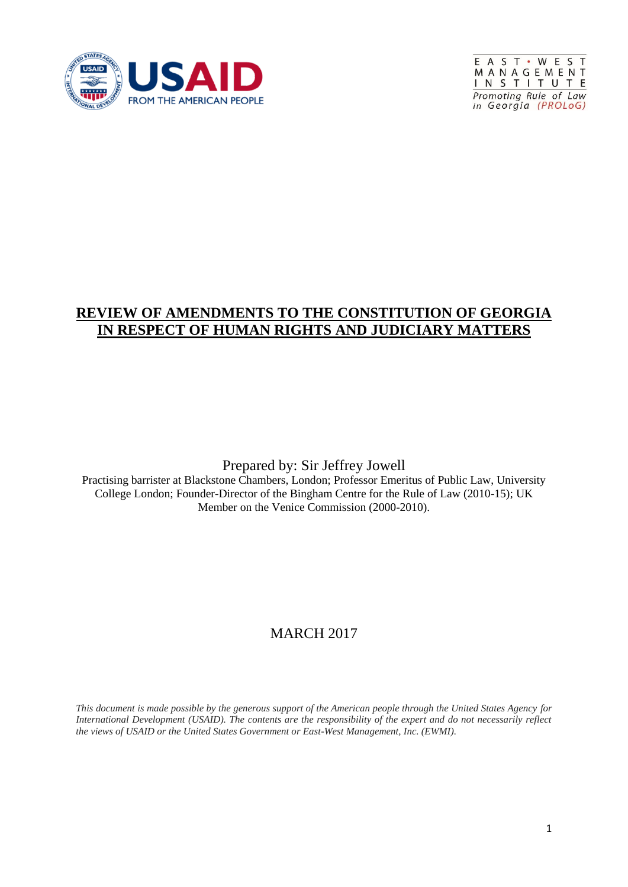



#### **REVIEW OF AMENDMENTS TO THE CONSTITUTION OF GEORGIA IN RESPECT OF HUMAN RIGHTS AND JUDICIARY MATTERS**

#### Prepared by: Sir Jeffrey Jowell

Practising barrister at Blackstone Chambers, London; Professor Emeritus of Public Law, University College London; Founder-Director of the Bingham Centre for the Rule of Law (2010-15); UK Member on the Venice Commission (2000-2010).

### MARCH 2017

*This document is made possible by the generous support of the American people through the United States Agency for International Development (USAID). The contents are the responsibility of the expert and do not necessarily reflect the views of USAID or the United States Government or East-West Management, Inc. (EWMI).*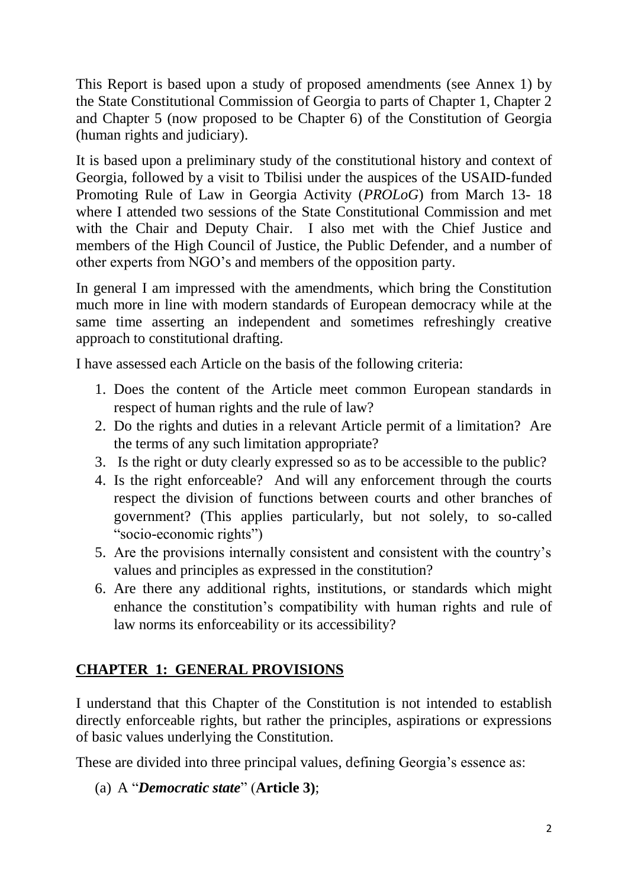This Report is based upon a study of proposed amendments (see Annex 1) by the State Constitutional Commission of Georgia to parts of Chapter 1, Chapter 2 and Chapter 5 (now proposed to be Chapter 6) of the Constitution of Georgia (human rights and judiciary).

It is based upon a preliminary study of the constitutional history and context of Georgia, followed by a visit to Tbilisi under the auspices of the USAID-funded Promoting Rule of Law in Georgia Activity (*PROLoG*) from March 13- 18 where I attended two sessions of the State Constitutional Commission and met with the Chair and Deputy Chair. I also met with the Chief Justice and members of the High Council of Justice, the Public Defender, and a number of other experts from NGO's and members of the opposition party.

In general I am impressed with the amendments, which bring the Constitution much more in line with modern standards of European democracy while at the same time asserting an independent and sometimes refreshingly creative approach to constitutional drafting.

I have assessed each Article on the basis of the following criteria:

- 1. Does the content of the Article meet common European standards in respect of human rights and the rule of law?
- 2. Do the rights and duties in a relevant Article permit of a limitation? Are the terms of any such limitation appropriate?
- 3. Is the right or duty clearly expressed so as to be accessible to the public?
- 4. Is the right enforceable? And will any enforcement through the courts respect the division of functions between courts and other branches of government? (This applies particularly, but not solely, to so-called "socio-economic rights")
- 5. Are the provisions internally consistent and consistent with the country's values and principles as expressed in the constitution?
- 6. Are there any additional rights, institutions, or standards which might enhance the constitution's compatibility with human rights and rule of law norms its enforceability or its accessibility?

# **CHAPTER 1: GENERAL PROVISIONS**

I understand that this Chapter of the Constitution is not intended to establish directly enforceable rights, but rather the principles, aspirations or expressions of basic values underlying the Constitution.

These are divided into three principal values, defining Georgia's essence as:

```
(a) A "Democratic state" (Article 3);
```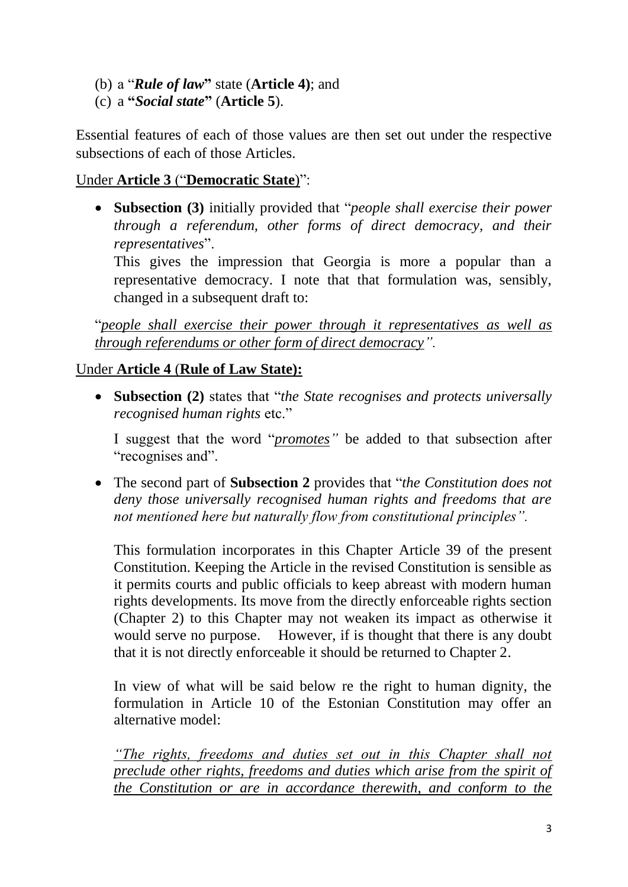- (b) a "*Rule of law***"** state (**Article 4)**; and
- (c) a **"***Social state***"** (**Article 5**).

Essential features of each of those values are then set out under the respective subsections of each of those Articles.

### Under **Article 3** ("**Democratic State**)":

 **Subsection (3)** initially provided that "*people shall exercise their power through a referendum, other forms of direct democracy, and their representatives*".

This gives the impression that Georgia is more a popular than a representative democracy. I note that that formulation was, sensibly, changed in a subsequent draft to:

"*people shall exercise their power through it representatives as well as through referendums or other form of direct democracy".* 

## Under **Article 4** (**Rule of Law State):**

 **Subsection (2)** states that "*the State recognises and protects universally recognised human rights* etc."

I suggest that the word "*promotes"* be added to that subsection after "recognises and".

 The second part of **Subsection 2** provides that "*the Constitution does not deny those universally recognised human rights and freedoms that are not mentioned here but naturally flow from constitutional principles".*

This formulation incorporates in this Chapter Article 39 of the present Constitution. Keeping the Article in the revised Constitution is sensible as it permits courts and public officials to keep abreast with modern human rights developments. Its move from the directly enforceable rights section (Chapter 2) to this Chapter may not weaken its impact as otherwise it would serve no purpose. However, if is thought that there is any doubt that it is not directly enforceable it should be returned to Chapter 2.

In view of what will be said below re the right to human dignity, the formulation in Article 10 of the Estonian Constitution may offer an alternative model:

*"The rights, freedoms and duties set out in this Chapter shall not preclude other rights, freedoms and duties which arise from the spirit of the Constitution or are in accordance therewith, and conform to the*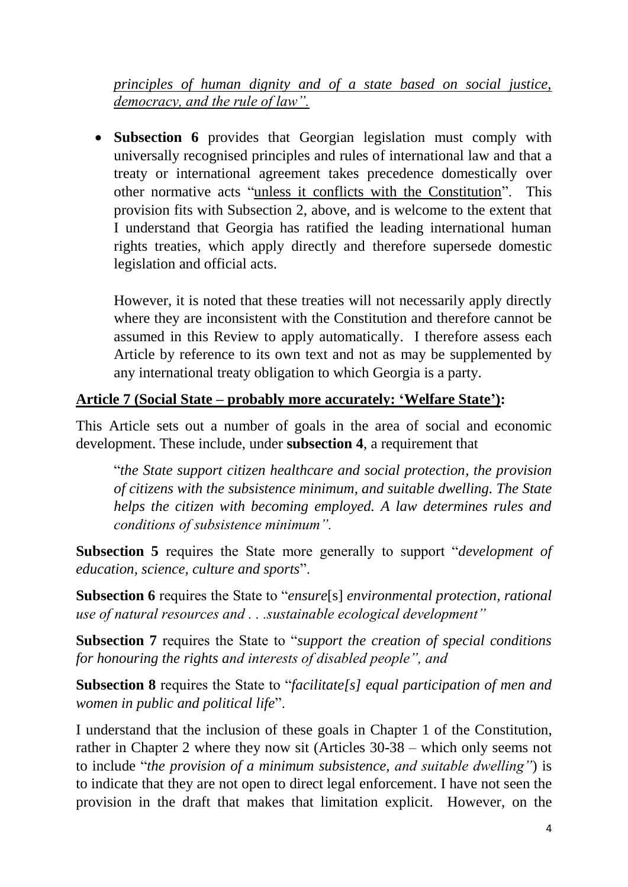*principles of human dignity and of a state based on social justice, democracy, and the rule of law".*

 **Subsection 6** provides that Georgian legislation must comply with universally recognised principles and rules of international law and that a treaty or international agreement takes precedence domestically over other normative acts "unless it conflicts with the Constitution". This provision fits with Subsection 2, above, and is welcome to the extent that I understand that Georgia has ratified the leading international human rights treaties, which apply directly and therefore supersede domestic legislation and official acts.

However, it is noted that these treaties will not necessarily apply directly where they are inconsistent with the Constitution and therefore cannot be assumed in this Review to apply automatically. I therefore assess each Article by reference to its own text and not as may be supplemented by any international treaty obligation to which Georgia is a party.

#### **Article 7 (Social State – probably more accurately: 'Welfare State'):**

This Article sets out a number of goals in the area of social and economic development. These include, under **subsection 4**, a requirement that

"*the State support citizen healthcare and social protection, the provision of citizens with the subsistence minimum, and suitable dwelling. The State helps the citizen with becoming employed. A law determines rules and conditions of subsistence minimum".*

**Subsection 5** requires the State more generally to support "*development of education, science, culture and sports*".

**Subsection 6** requires the State to "*ensure*[s] *environmental protection, rational use of natural resources and . . .sustainable ecological development"*

**Subsection 7** requires the State to "*support the creation of special conditions for honouring the rights and interests of disabled people", and* 

**Subsection 8** requires the State to "*facilitate[s] equal participation of men and women in public and political life*".

I understand that the inclusion of these goals in Chapter 1 of the Constitution, rather in Chapter 2 where they now sit (Articles 30-38 – which only seems not to include "*the provision of a minimum subsistence, and suitable dwelling"*) is to indicate that they are not open to direct legal enforcement. I have not seen the provision in the draft that makes that limitation explicit. However, on the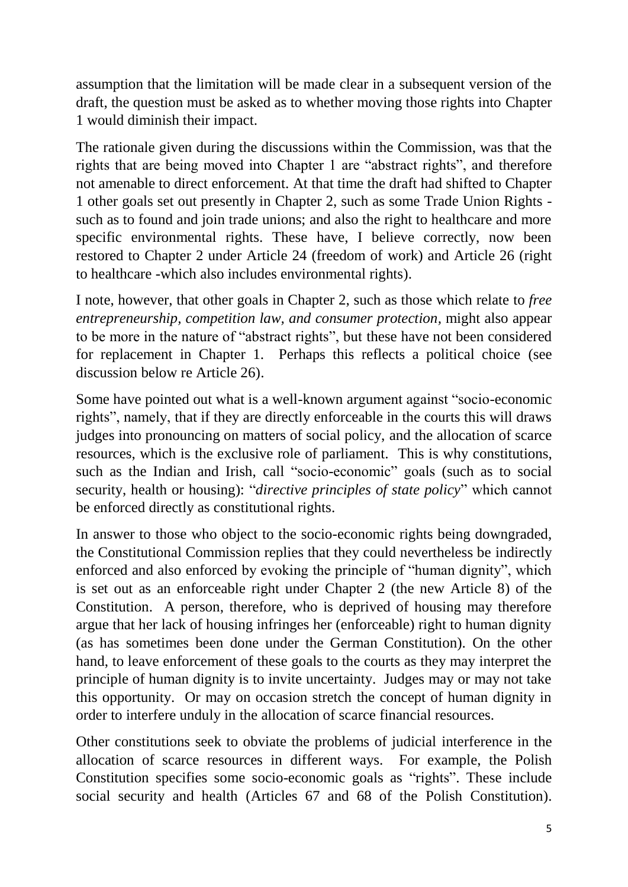assumption that the limitation will be made clear in a subsequent version of the draft, the question must be asked as to whether moving those rights into Chapter 1 would diminish their impact.

The rationale given during the discussions within the Commission, was that the rights that are being moved into Chapter 1 are "abstract rights", and therefore not amenable to direct enforcement. At that time the draft had shifted to Chapter 1 other goals set out presently in Chapter 2, such as some Trade Union Rights such as to found and join trade unions; and also the right to healthcare and more specific environmental rights. These have, I believe correctly, now been restored to Chapter 2 under Article 24 (freedom of work) and Article 26 (right to healthcare -which also includes environmental rights).

I note, however, that other goals in Chapter 2, such as those which relate to *free entrepreneurship, competition law, and consumer protection,* might also appear to be more in the nature of "abstract rights", but these have not been considered for replacement in Chapter 1. Perhaps this reflects a political choice (see discussion below re Article 26).

Some have pointed out what is a well-known argument against "socio-economic rights", namely, that if they are directly enforceable in the courts this will draws judges into pronouncing on matters of social policy, and the allocation of scarce resources, which is the exclusive role of parliament. This is why constitutions, such as the Indian and Irish, call "socio-economic" goals (such as to social security, health or housing): "*directive principles of state policy*" which cannot be enforced directly as constitutional rights.

In answer to those who object to the socio-economic rights being downgraded, the Constitutional Commission replies that they could nevertheless be indirectly enforced and also enforced by evoking the principle of "human dignity", which is set out as an enforceable right under Chapter 2 (the new Article 8) of the Constitution. A person, therefore, who is deprived of housing may therefore argue that her lack of housing infringes her (enforceable) right to human dignity (as has sometimes been done under the German Constitution). On the other hand, to leave enforcement of these goals to the courts as they may interpret the principle of human dignity is to invite uncertainty. Judges may or may not take this opportunity. Or may on occasion stretch the concept of human dignity in order to interfere unduly in the allocation of scarce financial resources.

Other constitutions seek to obviate the problems of judicial interference in the allocation of scarce resources in different ways. For example, the Polish Constitution specifies some socio-economic goals as "rights". These include social security and health (Articles 67 and 68 of the Polish Constitution).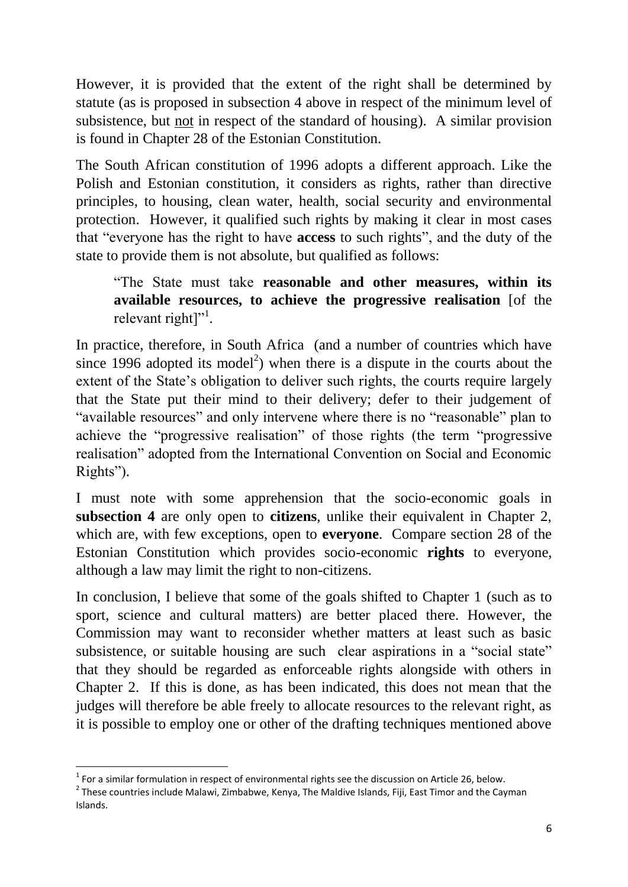However, it is provided that the extent of the right shall be determined by statute (as is proposed in subsection 4 above in respect of the minimum level of subsistence, but not in respect of the standard of housing). A similar provision is found in Chapter 28 of the Estonian Constitution.

The South African constitution of 1996 adopts a different approach. Like the Polish and Estonian constitution, it considers as rights, rather than directive principles, to housing, clean water, health, social security and environmental protection. However, it qualified such rights by making it clear in most cases that "everyone has the right to have **access** to such rights", and the duty of the state to provide them is not absolute, but qualified as follows:

"The State must take **reasonable and other measures, within its available resources, to achieve the progressive realisation** [of the relevant right]"<sup>1</sup>.

In practice, therefore, in South Africa (and a number of countries which have since 1996 adopted its model<sup>2</sup>) when there is a dispute in the courts about the extent of the State's obligation to deliver such rights, the courts require largely that the State put their mind to their delivery; defer to their judgement of "available resources" and only intervene where there is no "reasonable" plan to achieve the "progressive realisation" of those rights (the term "progressive realisation" adopted from the International Convention on Social and Economic Rights").

I must note with some apprehension that the socio-economic goals in **subsection 4** are only open to **citizens**, unlike their equivalent in Chapter 2, which are, with few exceptions, open to **everyone**. Compare section 28 of the Estonian Constitution which provides socio-economic **rights** to everyone, although a law may limit the right to non-citizens.

In conclusion, I believe that some of the goals shifted to Chapter 1 (such as to sport, science and cultural matters) are better placed there. However, the Commission may want to reconsider whether matters at least such as basic subsistence, or suitable housing are such clear aspirations in a "social state" that they should be regarded as enforceable rights alongside with others in Chapter 2. If this is done, as has been indicated, this does not mean that the judges will therefore be able freely to allocate resources to the relevant right, as it is possible to employ one or other of the drafting techniques mentioned above

**<sup>.</sup>**  $1$  For a similar formulation in respect of environmental rights see the discussion on Article 26, below.

 $2$  These countries include Malawi, Zimbabwe, Kenya, The Maldive Islands, Fiji, East Timor and the Cayman Islands.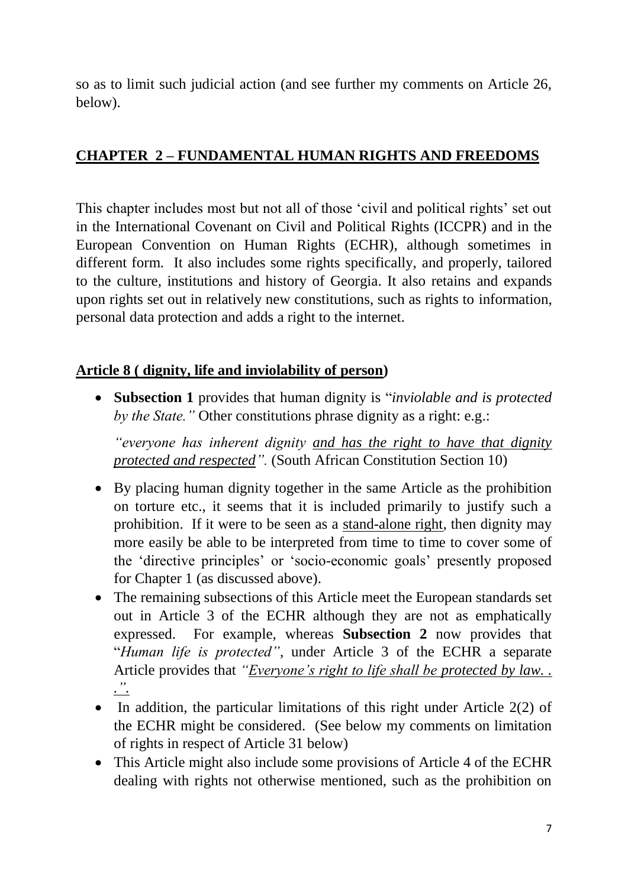so as to limit such judicial action (and see further my comments on Article 26, below).

# **CHAPTER 2 – FUNDAMENTAL HUMAN RIGHTS AND FREEDOMS**

This chapter includes most but not all of those 'civil and political rights' set out in the International Covenant on Civil and Political Rights (ICCPR) and in the European Convention on Human Rights (ECHR), although sometimes in different form. It also includes some rights specifically, and properly, tailored to the culture, institutions and history of Georgia. It also retains and expands upon rights set out in relatively new constitutions, such as rights to information, personal data protection and adds a right to the internet.

## **Article 8 ( dignity, life and inviolability of person)**

 **Subsection 1** provides that human dignity is "*inviolable and is protected by the State."* Other constitutions phrase dignity as a right: e.g.:

*"everyone has inherent dignity and has the right to have that dignity protected and respected".* (South African Constitution Section 10)

- By placing human dignity together in the same Article as the prohibition on torture etc., it seems that it is included primarily to justify such a prohibition. If it were to be seen as a stand-alone right, then dignity may more easily be able to be interpreted from time to time to cover some of the 'directive principles' or 'socio-economic goals' presently proposed for Chapter 1 (as discussed above).
- The remaining subsections of this Article meet the European standards set out in Article 3 of the ECHR although they are not as emphatically expressed. For example, whereas **Subsection 2** now provides that "*Human life is protected"*, under Article 3 of the ECHR a separate Article provides that *"Everyone's right to life shall be protected by law. . .".*
- In addition, the particular limitations of this right under Article  $2(2)$  of the ECHR might be considered. (See below my comments on limitation of rights in respect of Article 31 below)
- This Article might also include some provisions of Article 4 of the ECHR dealing with rights not otherwise mentioned, such as the prohibition on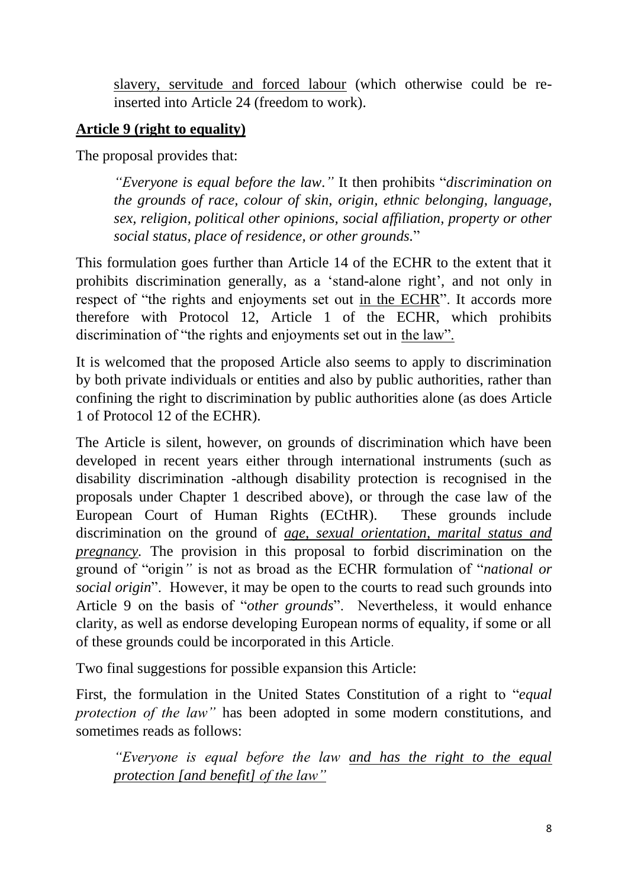slavery, servitude and forced labour (which otherwise could be reinserted into Article 24 (freedom to work).

### **Article 9 (right to equality)**

The proposal provides that:

*"Everyone is equal before the law."* It then prohibits "*discrimination on the grounds of race, colour of skin, origin, ethnic belonging, language, sex, religion, political other opinions, social affiliation, property or other social status, place of residence, or other grounds.*"

This formulation goes further than Article 14 of the ECHR to the extent that it prohibits discrimination generally, as a 'stand-alone right', and not only in respect of "the rights and enjoyments set out in the ECHR". It accords more therefore with Protocol 12, Article 1 of the ECHR, which prohibits discrimination of "the rights and enjoyments set out in the law".

It is welcomed that the proposed Article also seems to apply to discrimination by both private individuals or entities and also by public authorities, rather than confining the right to discrimination by public authorities alone (as does Article 1 of Protocol 12 of the ECHR).

The Article is silent, however, on grounds of discrimination which have been developed in recent years either through international instruments (such as disability discrimination -although disability protection is recognised in the proposals under Chapter 1 described above), or through the case law of the European Court of Human Rights (ECtHR). These grounds include discrimination on the ground of *age, sexual orientation, marital status and pregnancy*. The provision in this proposal to forbid discrimination on the ground of "origin*"* is not as broad as the ECHR formulation of "*national or social origin*". However, it may be open to the courts to read such grounds into Article 9 on the basis of "*other grounds*". Nevertheless, it would enhance clarity, as well as endorse developing European norms of equality, if some or all of these grounds could be incorporated in this Article.

Two final suggestions for possible expansion this Article:

First, the formulation in the United States Constitution of a right to "*equal protection of the law"* has been adopted in some modern constitutions, and sometimes reads as follows:

*"Everyone is equal before the law and has the right to the equal protection [and benefit] of the law"*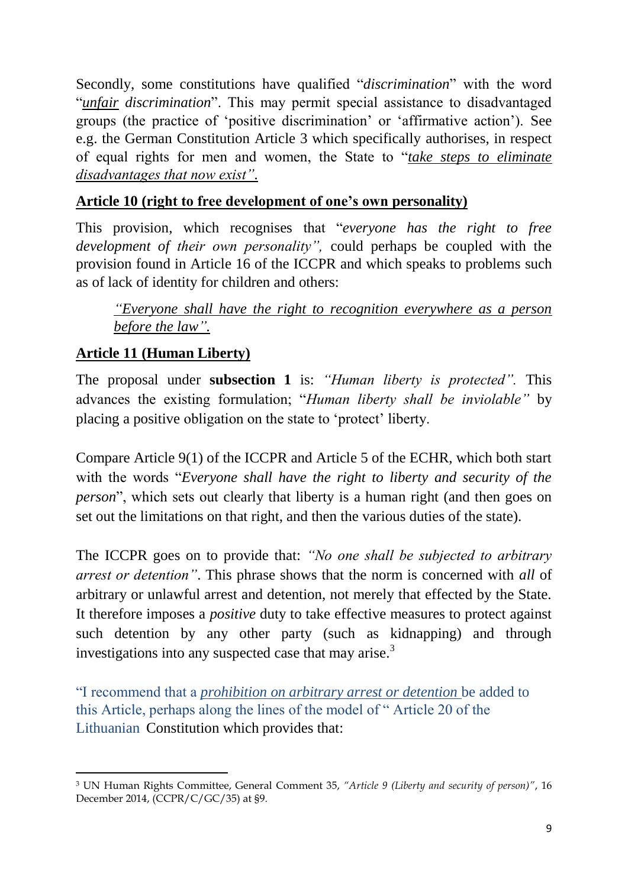Secondly, some constitutions have qualified "*discrimination*" with the word "*unfair discrimination*". This may permit special assistance to disadvantaged groups (the practice of 'positive discrimination' or 'affirmative action'). See e.g. the German Constitution Article 3 which specifically authorises, in respect of equal rights for men and women, the State to "*take steps to eliminate disadvantages that now exist".*

## **Article 10 (right to free development of one's own personality)**

This provision, which recognises that "*everyone has the right to free development of their own personality",* could perhaps be coupled with the provision found in Article 16 of the ICCPR and which speaks to problems such as of lack of identity for children and others:

*"Everyone shall have the right to recognition everywhere as a person before the law".*

# **Article 11 (Human Liberty)**

The proposal under **subsection 1** is: *"Human liberty is protected".* This advances the existing formulation; "*Human liberty shall be inviolable"* by placing a positive obligation on the state to 'protect' liberty.

Compare Article 9(1) of the ICCPR and Article 5 of the ECHR, which both start with the words "*Everyone shall have the right to liberty and security of the person*", which sets out clearly that liberty is a human right (and then goes on set out the limitations on that right, and then the various duties of the state).

The ICCPR goes on to provide that: *"No one shall be subjected to arbitrary arrest or detention"*. This phrase shows that the norm is concerned with *all* of arbitrary or unlawful arrest and detention, not merely that effected by the State. It therefore imposes a *positive* duty to take effective measures to protect against such detention by any other party (such as kidnapping) and through investigations into any suspected case that may arise.<sup>3</sup>

"I recommend that a *prohibition on arbitrary arrest or detention* be added to this Article, perhaps along the lines of the model of " Article 20 of the Lithuanian Constitution which provides that:

<sup>1</sup> <sup>3</sup> UN Human Rights Committee, General Comment 35, *"Article 9 (Liberty and security of person)"*, 16 December 2014, (CCPR/C/GC/35) at §9.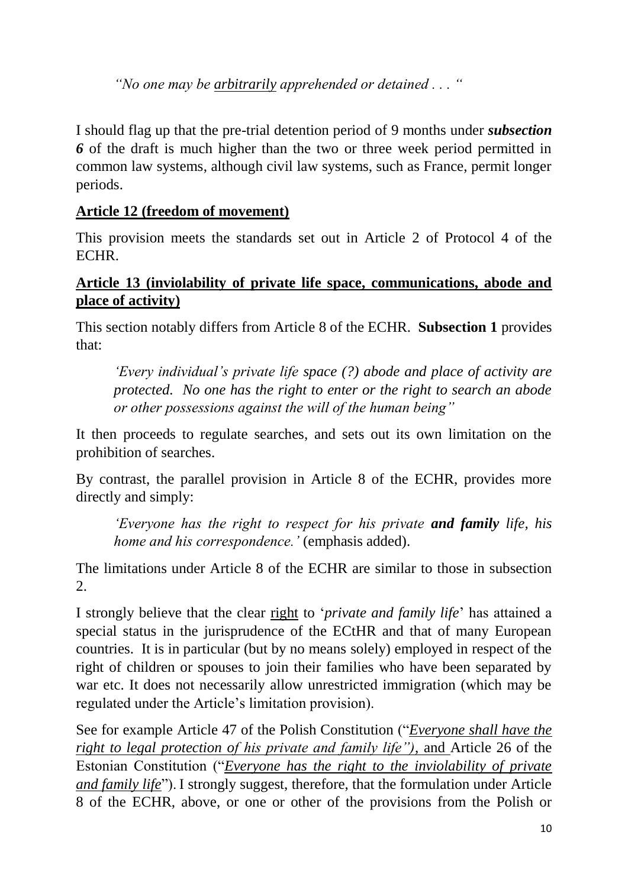*"No one may be arbitrarily apprehended or detained . . . "*

I should flag up that the pre-trial detention period of 9 months under *subsection 6* of the draft is much higher than the two or three week period permitted in common law systems, although civil law systems, such as France, permit longer periods.

## **Article 12 (freedom of movement)**

This provision meets the standards set out in Article 2 of Protocol 4 of the ECHR.

## **Article 13 (inviolability of private life space, communications, abode and place of activity)**

This section notably differs from Article 8 of the ECHR. **Subsection 1** provides that:

*'Every individual's private life space (?) abode and place of activity are protected. No one has the right to enter or the right to search an abode or other possessions against the will of the human being"*

It then proceeds to regulate searches, and sets out its own limitation on the prohibition of searches.

By contrast, the parallel provision in Article 8 of the ECHR, provides more directly and simply:

*'Everyone has the right to respect for his private and family life, his home and his correspondence.'* (emphasis added).

The limitations under Article 8 of the ECHR are similar to those in subsection  $2<sup>1</sup>$ 

I strongly believe that the clear right to '*private and family life*' has attained a special status in the jurisprudence of the ECtHR and that of many European countries. It is in particular (but by no means solely) employed in respect of the right of children or spouses to join their families who have been separated by war etc. It does not necessarily allow unrestricted immigration (which may be regulated under the Article's limitation provision).

See for example Article 47 of the Polish Constitution ("*Everyone shall have the right to legal protection of his private and family life")*, and Article 26 of the Estonian Constitution ("*Everyone has the right to the inviolability of private and family life*"). I strongly suggest, therefore, that the formulation under Article 8 of the ECHR, above, or one or other of the provisions from the Polish or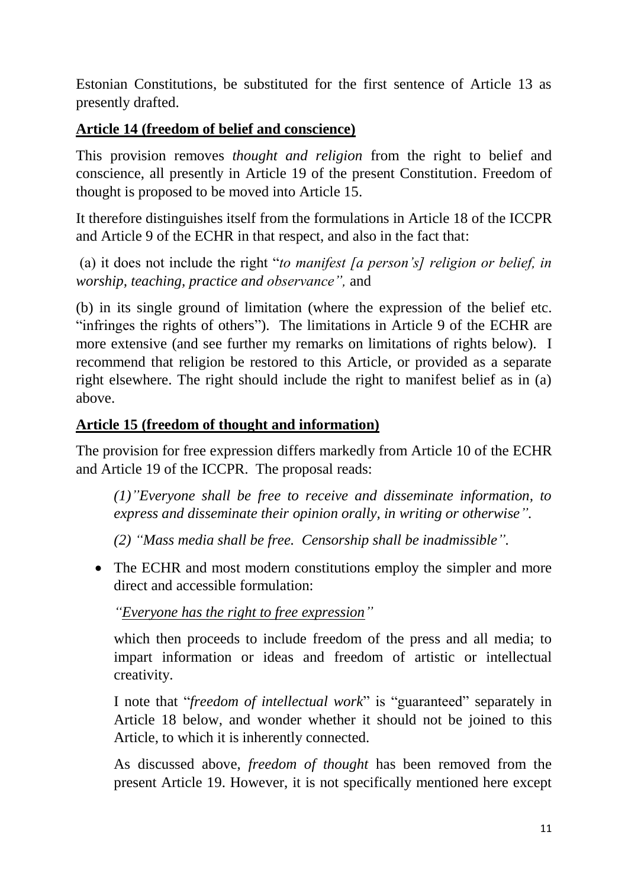Estonian Constitutions, be substituted for the first sentence of Article 13 as presently drafted.

## **Article 14 (freedom of belief and conscience)**

This provision removes *thought and religion* from the right to belief and conscience, all presently in Article 19 of the present Constitution. Freedom of thought is proposed to be moved into Article 15.

It therefore distinguishes itself from the formulations in Article 18 of the ICCPR and Article 9 of the ECHR in that respect, and also in the fact that:

(a) it does not include the right "*to manifest [a person's] religion or belief, in worship, teaching, practice and observance",* and

(b) in its single ground of limitation (where the expression of the belief etc. "infringes the rights of others"). The limitations in Article 9 of the ECHR are more extensive (and see further my remarks on limitations of rights below). I recommend that religion be restored to this Article, or provided as a separate right elsewhere. The right should include the right to manifest belief as in (a) above.

## **Article 15 (freedom of thought and information)**

The provision for free expression differs markedly from Article 10 of the ECHR and Article 19 of the ICCPR. The proposal reads:

*(1)"Everyone shall be free to receive and disseminate information, to express and disseminate their opinion orally, in writing or otherwise".*

*(2) "Mass media shall be free. Censorship shall be inadmissible".*

• The ECHR and most modern constitutions employ the simpler and more direct and accessible formulation:

*"Everyone has the right to free expression"*

which then proceeds to include freedom of the press and all media; to impart information or ideas and freedom of artistic or intellectual creativity.

I note that "*freedom of intellectual work*" is "guaranteed" separately in Article 18 below, and wonder whether it should not be joined to this Article, to which it is inherently connected.

As discussed above, *freedom of thought* has been removed from the present Article 19. However, it is not specifically mentioned here except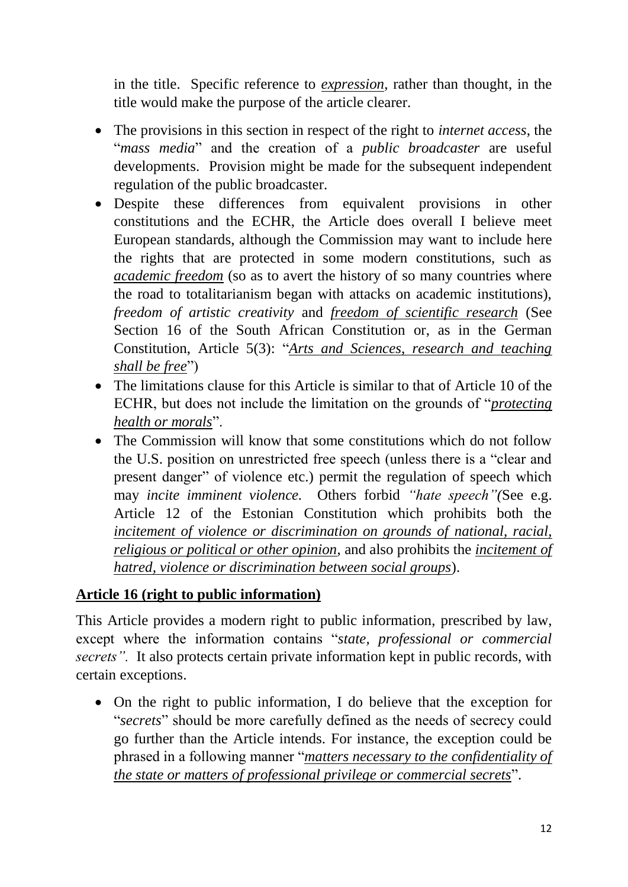in the title. Specific reference to *expression*, rather than thought, in the title would make the purpose of the article clearer.

- The provisions in this section in respect of the right to *internet access*, the "*mass media*" and the creation of a *public broadcaster* are useful developments. Provision might be made for the subsequent independent regulation of the public broadcaster.
- Despite these differences from equivalent provisions in other constitutions and the ECHR, the Article does overall I believe meet European standards, although the Commission may want to include here the rights that are protected in some modern constitutions, such as *academic freedom* (so as to avert the history of so many countries where the road to totalitarianism began with attacks on academic institutions), *freedom of artistic creativity* and *freedom of scientific research* (See Section 16 of the South African Constitution or, as in the German Constitution, Article 5(3): "*Arts and Sciences, research and teaching shall be free*")
- The limitations clause for this Article is similar to that of Article 10 of the ECHR, but does not include the limitation on the grounds of "*protecting health or morals*".
- The Commission will know that some constitutions which do not follow the U.S. position on unrestricted free speech (unless there is a "clear and present danger" of violence etc.) permit the regulation of speech which may *incite imminent violence.* Others forbid *"hate speech"(*See e.g. Article 12 of the Estonian Constitution which prohibits both the *incitement of violence or discrimination on grounds of national, racial, religious or political or other opinion*, and also prohibits the *incitement of hatred, violence or discrimination between social groups*).

## **Article 16 (right to public information)**

This Article provides a modern right to public information, prescribed by law, except where the information contains "*state, professional or commercial secrets".* It also protects certain private information kept in public records, with certain exceptions.

 On the right to public information, I do believe that the exception for "*secrets*" should be more carefully defined as the needs of secrecy could go further than the Article intends. For instance, the exception could be phrased in a following manner "*matters necessary to the confidentiality of the state or matters of professional privilege or commercial secrets*".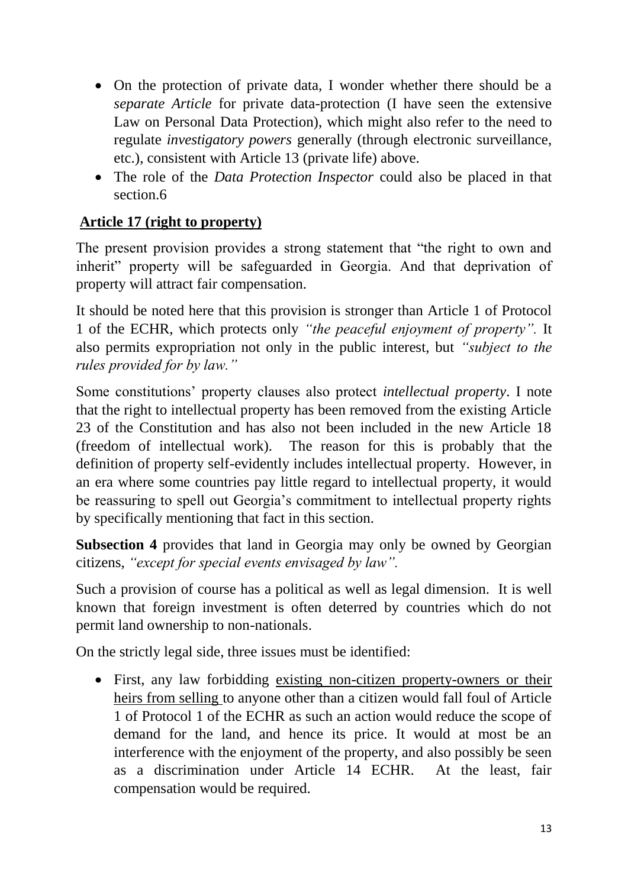- On the protection of private data, I wonder whether there should be a *separate Article* for private data-protection (I have seen the extensive Law on Personal Data Protection), which might also refer to the need to regulate *investigatory powers* generally (through electronic surveillance, etc.), consistent with Article 13 (private life) above.
- The role of the *Data Protection Inspector* could also be placed in that section.6

# **Article 17 (right to property)**

The present provision provides a strong statement that "the right to own and inherit" property will be safeguarded in Georgia. And that deprivation of property will attract fair compensation.

It should be noted here that this provision is stronger than Article 1 of Protocol 1 of the ECHR, which protects only *"the peaceful enjoyment of property".* It also permits expropriation not only in the public interest, but *"subject to the rules provided for by law."*

Some constitutions' property clauses also protect *intellectual property*. I note that the right to intellectual property has been removed from the existing Article 23 of the Constitution and has also not been included in the new Article 18 (freedom of intellectual work). The reason for this is probably that the definition of property self-evidently includes intellectual property. However, in an era where some countries pay little regard to intellectual property, it would be reassuring to spell out Georgia's commitment to intellectual property rights by specifically mentioning that fact in this section.

**Subsection 4** provides that land in Georgia may only be owned by Georgian citizens, *"except for special events envisaged by law".*

Such a provision of course has a political as well as legal dimension. It is well known that foreign investment is often deterred by countries which do not permit land ownership to non-nationals.

On the strictly legal side, three issues must be identified:

 First, any law forbidding existing non-citizen property-owners or their heirs from selling to anyone other than a citizen would fall foul of Article 1 of Protocol 1 of the ECHR as such an action would reduce the scope of demand for the land, and hence its price. It would at most be an interference with the enjoyment of the property, and also possibly be seen as a discrimination under Article 14 ECHR. At the least, fair compensation would be required.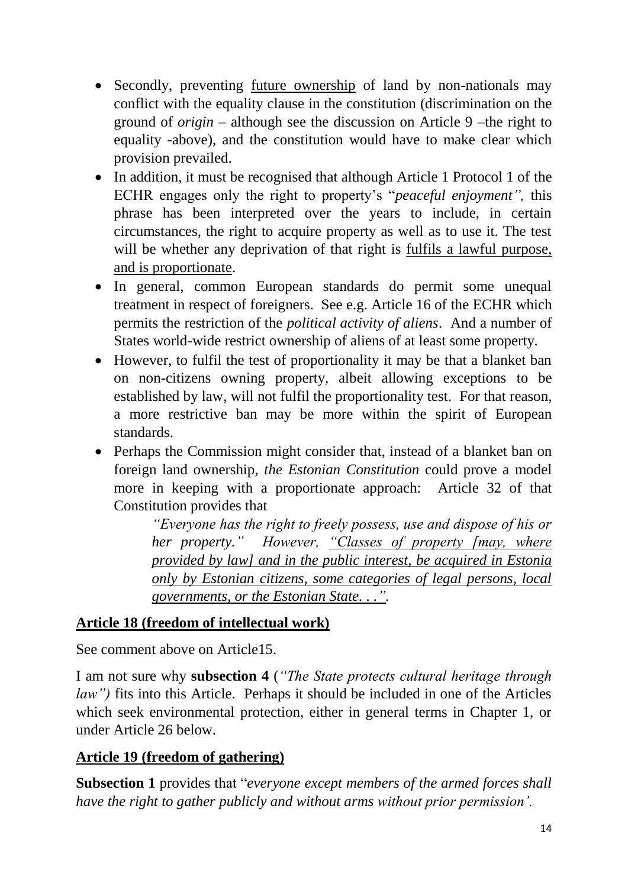- Secondly, preventing future ownership of land by non-nationals may conflict with the equality clause in the constitution (discrimination on the ground of *origin –* although see the discussion on Article 9 –the right to equality -above), and the constitution would have to make clear which provision prevailed.
- In addition, it must be recognised that although Article 1 Protocol 1 of the ECHR engages only the right to property's "*peaceful enjoyment",* this phrase has been interpreted over the years to include, in certain circumstances, the right to acquire property as well as to use it. The test will be whether any deprivation of that right is fulfils a lawful purpose, and is proportionate.
- In general, common European standards do permit some unequal treatment in respect of foreigners. See e.g. Article 16 of the ECHR which permits the restriction of the *political activity of aliens*. And a number of States world-wide restrict ownership of aliens of at least some property.
- However, to fulfil the test of proportionality it may be that a blanket ban on non-citizens owning property, albeit allowing exceptions to be established by law, will not fulfil the proportionality test. For that reason, a more restrictive ban may be more within the spirit of European standards.
- Perhaps the Commission might consider that, instead of a blanket ban on foreign land ownership, *the Estonian Constitution* could prove a model more in keeping with a proportionate approach: Article 32 of that Constitution provides that

*"Everyone has the right to freely possess, use and dispose of his or her property." However, "Classes of property [may, where provided by law] and in the public interest, be acquired in Estonia only by Estonian citizens, some categories of legal persons, local governments, or the Estonian State. . .".*

### **Article 18 (freedom of intellectual work)**

See comment above on Article15.

I am not sure why **subsection 4** (*"The State protects cultural heritage through law")* fits into this Article. Perhaps it should be included in one of the Articles which seek environmental protection, either in general terms in Chapter 1, or under Article 26 below.

## **Article 19 (freedom of gathering)**

**Subsection 1** provides that "*everyone except members of the armed forces shall have the right to gather publicly and without arms without prior permission'.*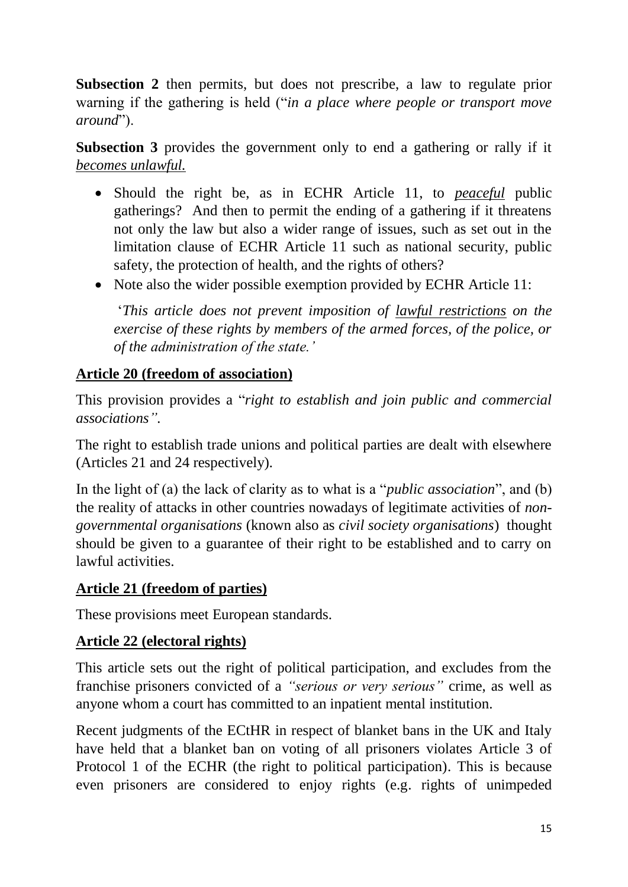**Subsection 2** then permits, but does not prescribe, a law to regulate prior warning if the gathering is held ("*in a place where people or transport move around*").

**Subsection 3** provides the government only to end a gathering or rally if it *becomes unlawful.*

- Should the right be, as in ECHR Article 11, to *peaceful* public gatherings? And then to permit the ending of a gathering if it threatens not only the law but also a wider range of issues, such as set out in the limitation clause of ECHR Article 11 such as national security, public safety, the protection of health, and the rights of others?
- Note also the wider possible exemption provided by ECHR Article 11:

'*This article does not prevent imposition of lawful restrictions on the exercise of these rights by members of the armed forces, of the police, or of the administration of the state.'*

# **Article 20 (freedom of association)**

This provision provides a "*right to establish and join public and commercial associations".*

The right to establish trade unions and political parties are dealt with elsewhere (Articles 21 and 24 respectively)*.*

In the light of (a) the lack of clarity as to what is a "*public association*", and (b) the reality of attacks in other countries nowadays of legitimate activities of *nongovernmental organisations* (known also as *civil society organisations*) thought should be given to a guarantee of their right to be established and to carry on lawful activities.

## **Article 21 (freedom of parties)**

These provisions meet European standards.

# **Article 22 (electoral rights)**

This article sets out the right of political participation, and excludes from the franchise prisoners convicted of a *"serious or very serious"* crime, as well as anyone whom a court has committed to an inpatient mental institution.

Recent judgments of the ECtHR in respect of blanket bans in the UK and Italy have held that a blanket ban on voting of all prisoners violates Article 3 of Protocol 1 of the ECHR (the right to political participation). This is because even prisoners are considered to enjoy rights (e.g. rights of unimpeded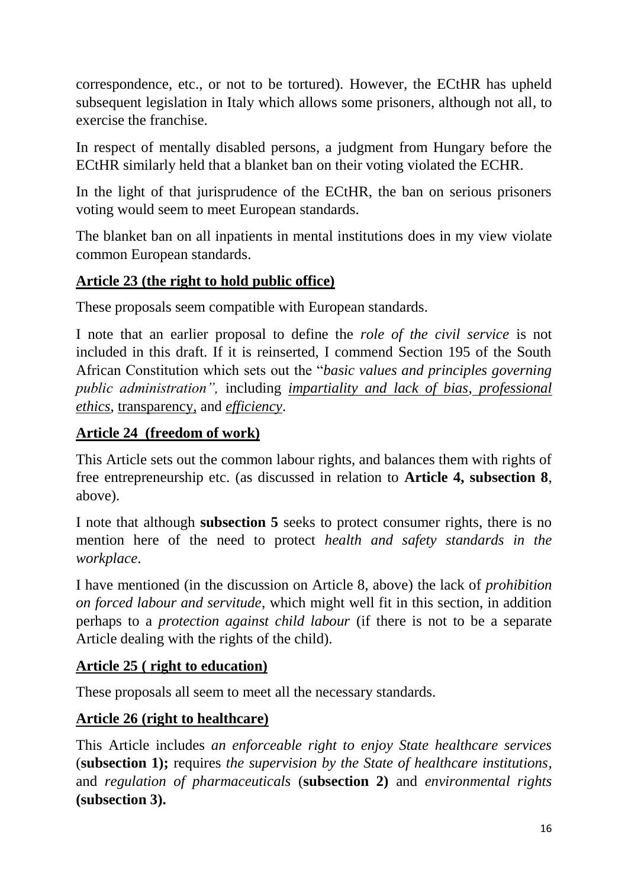correspondence, etc., or not to be tortured). However, the ECtHR has upheld subsequent legislation in Italy which allows some prisoners, although not all, to exercise the franchise.

In respect of mentally disabled persons, a judgment from Hungary before the ECtHR similarly held that a blanket ban on their voting violated the ECHR.

In the light of that jurisprudence of the ECtHR, the ban on serious prisoners voting would seem to meet European standards.

The blanket ban on all inpatients in mental institutions does in my view violate common European standards.

# **Article 23 (the right to hold public office)**

These proposals seem compatible with European standards.

I note that an earlier proposal to define the *role of the civil service* is not included in this draft. If it is reinserted, I commend Section 195 of the South African Constitution which sets out the "*basic values and principles governing public administration",* including *impartiality and lack of bias*, *professional ethics*, transparency, and *efficiency*.

# **Article 24 (freedom of work)**

This Article sets out the common labour rights, and balances them with rights of free entrepreneurship etc. (as discussed in relation to **Article 4, subsection 8**, above).

I note that although **subsection 5** seeks to protect consumer rights, there is no mention here of the need to protect *health and safety standards in the workplace*.

I have mentioned (in the discussion on Article 8, above) the lack of *prohibition on forced labour and servitude*, which might well fit in this section, in addition perhaps to a *protection against child labour* (if there is not to be a separate Article dealing with the rights of the child).

## **Article 25 ( right to education)**

These proposals all seem to meet all the necessary standards.

# **Article 26 (right to healthcare)**

This Article includes *an enforceable right to enjoy State healthcare services* (**subsection 1);** requires *the supervision by the State of healthcare institutions,* and *regulation of pharmaceuticals* (**subsection 2)** and *environmental rights* **(subsection 3).**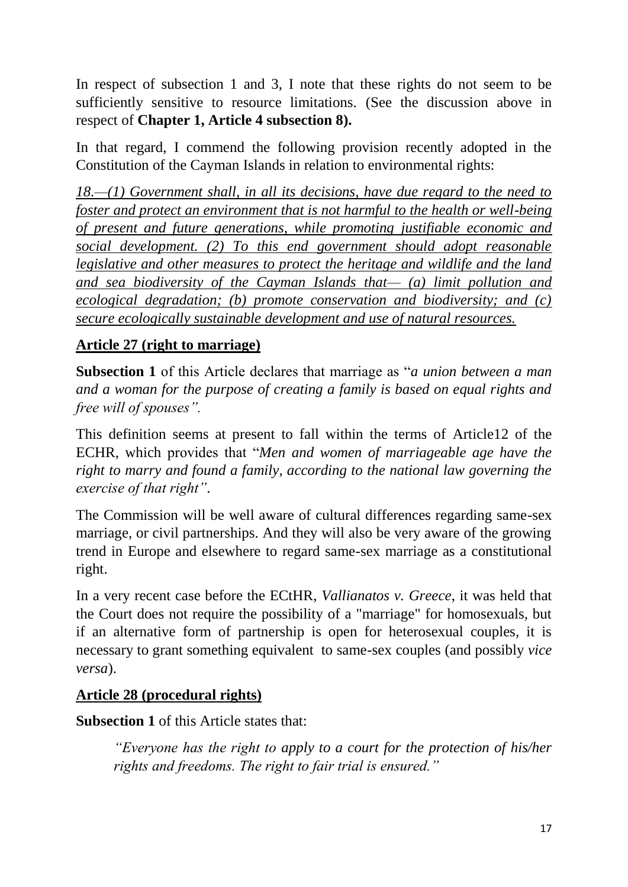In respect of subsection 1 and 3, I note that these rights do not seem to be sufficiently sensitive to resource limitations. (See the discussion above in respect of **Chapter 1, Article 4 subsection 8).**

In that regard, I commend the following provision recently adopted in the Constitution of the Cayman Islands in relation to environmental rights:

*18.—(1) Government shall, in all its decisions, have due regard to the need to foster and protect an environment that is not harmful to the health or well-being of present and future generations, while promoting justifiable economic and social development. (2) To this end government should adopt reasonable legislative and other measures to protect the heritage and wildlife and the land and sea biodiversity of the Cayman Islands that— (a) limit pollution and ecological degradation; (b) promote conservation and biodiversity; and (c) secure ecologically sustainable development and use of natural resources.*

# **Article 27 (right to marriage)**

**Subsection 1** of this Article declares that marriage as "*a union between a man and a woman for the purpose of creating a family is based on equal rights and free will of spouses".*

This definition seems at present to fall within the terms of Article12 of the ECHR, which provides that "*Men and women of marriageable age have the right to marry and found a family, according to the national law governing the exercise of that right"*.

The Commission will be well aware of cultural differences regarding same-sex marriage, or civil partnerships. And they will also be very aware of the growing trend in Europe and elsewhere to regard same-sex marriage as a constitutional right.

In a very recent case before the ECtHR, *Vallianatos v. Greece*, it was held that the Court does not require the possibility of a "marriage" for homosexuals, but if an alternative form of partnership is open for heterosexual couples, it is necessary to grant something equivalent to same-sex couples (and possibly *vice versa*).

## **Article 28 (procedural rights)**

**Subsection 1** of this Article states that:

*"Everyone has the right to apply to a court for the protection of his/her rights and freedoms. The right to fair trial is ensured."*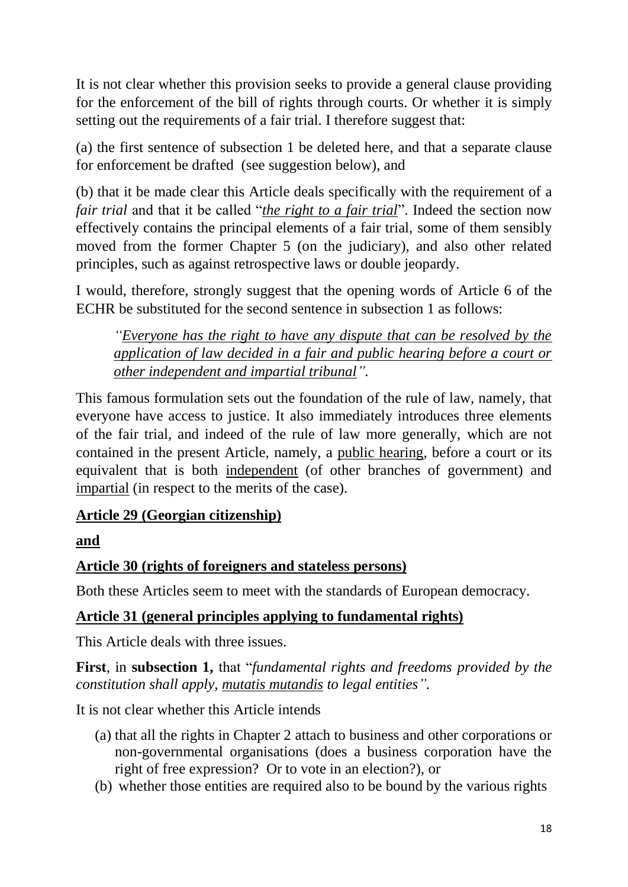It is not clear whether this provision seeks to provide a general clause providing for the enforcement of the bill of rights through courts. Or whether it is simply setting out the requirements of a fair trial. I therefore suggest that:

(a) the first sentence of subsection 1 be deleted here, and that a separate clause for enforcement be drafted (see suggestion below), and

(b) that it be made clear this Article deals specifically with the requirement of a *fair trial* and that it be called "*the right to a fair trial*". Indeed the section now effectively contains the principal elements of a fair trial, some of them sensibly moved from the former Chapter 5 (on the judiciary), and also other related principles, such as against retrospective laws or double jeopardy.

I would, therefore, strongly suggest that the opening words of Article 6 of the ECHR be substituted for the second sentence in subsection 1 as follows:

*"Everyone has the right to have any dispute that can be resolved by the application of law decided in a fair and public hearing before a court or other independent and impartial tribunal".*

This famous formulation sets out the foundation of the rule of law, namely, that everyone have access to justice. It also immediately introduces three elements of the fair trial, and indeed of the rule of law more generally, which are not contained in the present Article, namely, a public hearing, before a court or its equivalent that is both independent (of other branches of government) and impartial (in respect to the merits of the case).

## **Article 29 (Georgian citizenship)**

**and**

## **Article 30 (rights of foreigners and stateless persons)**

Both these Articles seem to meet with the standards of European democracy.

## **Article 31 (general principles applying to fundamental rights)**

This Article deals with three issues.

**First**, in **subsection 1,** that "*fundamental rights and freedoms provided by the constitution shall apply, mutatis mutandis to legal entities".*

It is not clear whether this Article intends

- (a) that all the rights in Chapter 2 attach to business and other corporations or non-governmental organisations (does a business corporation have the right of free expression? Or to vote in an election?), or
- (b) whether those entities are required also to be bound by the various rights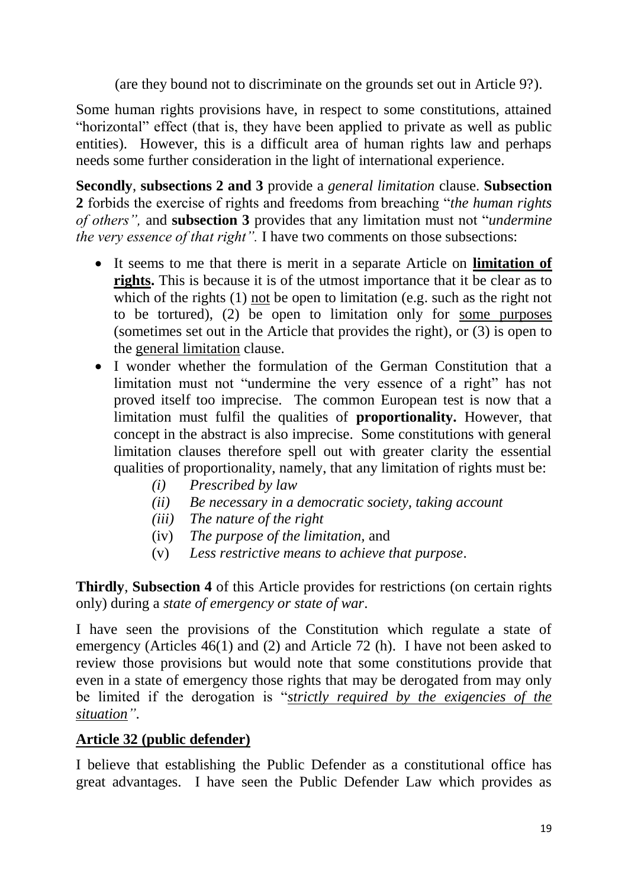(are they bound not to discriminate on the grounds set out in Article 9?).

Some human rights provisions have, in respect to some constitutions, attained "horizontal" effect (that is, they have been applied to private as well as public entities). However, this is a difficult area of human rights law and perhaps needs some further consideration in the light of international experience.

**Secondly**, **subsections 2 and 3** provide a *general limitation* clause. **Subsection 2** forbids the exercise of rights and freedoms from breaching "*the human rights of others",* and **subsection 3** provides that any limitation must not "*undermine the very essence of that right".* I have two comments on those subsections:

- It seems to me that there is merit in a separate Article on **limitation of rights.** This is because it is of the utmost importance that it be clear as to which of the rights (1) not be open to limitation (e.g. such as the right not to be tortured), (2) be open to limitation only for some purposes (sometimes set out in the Article that provides the right), or (3) is open to the general limitation clause.
- I wonder whether the formulation of the German Constitution that a limitation must not "undermine the very essence of a right" has not proved itself too imprecise. The common European test is now that a limitation must fulfil the qualities of **proportionality.** However, that concept in the abstract is also imprecise. Some constitutions with general limitation clauses therefore spell out with greater clarity the essential qualities of proportionality, namely, that any limitation of rights must be:
	- *(i) Prescribed by law*
	- *(ii) Be necessary in a democratic society, taking account*
	- *(iii) The nature of the right*
	- (iv) *The purpose of the limitation,* and
	- (v) *Less restrictive means to achieve that purpose*.

**Thirdly**, **Subsection 4** of this Article provides for restrictions (on certain rights only) during a *state of emergency or state of war*.

I have seen the provisions of the Constitution which regulate a state of emergency (Articles 46(1) and (2) and Article 72 (h). I have not been asked to review those provisions but would note that some constitutions provide that even in a state of emergency those rights that may be derogated from may only be limited if the derogation is "*strictly required by the exigencies of the situation"*.

### **Article 32 (public defender)**

I believe that establishing the Public Defender as a constitutional office has great advantages. I have seen the Public Defender Law which provides as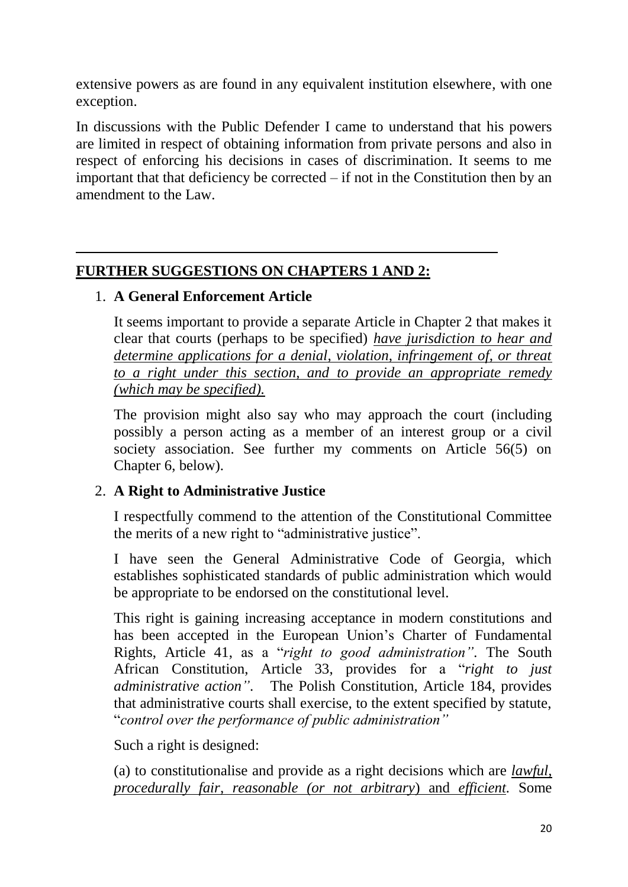extensive powers as are found in any equivalent institution elsewhere, with one exception.

In discussions with the Public Defender I came to understand that his powers are limited in respect of obtaining information from private persons and also in respect of enforcing his decisions in cases of discrimination. It seems to me important that that deficiency be corrected – if not in the Constitution then by an amendment to the Law.

## **FURTHER SUGGESTIONS ON CHAPTERS 1 AND 2:**

#### 1. **A General Enforcement Article**

It seems important to provide a separate Article in Chapter 2 that makes it clear that courts (perhaps to be specified) *have jurisdiction to hear and determine applications for a denial, violation, infringement of, or threat to a right under this section, and to provide an appropriate remedy (which may be specified).*

The provision might also say who may approach the court (including possibly a person acting as a member of an interest group or a civil society association. See further my comments on Article 56(5) on Chapter 6, below).

### 2. **A Right to Administrative Justice**

I respectfully commend to the attention of the Constitutional Committee the merits of a new right to "administrative justice".

I have seen the General Administrative Code of Georgia, which establishes sophisticated standards of public administration which would be appropriate to be endorsed on the constitutional level.

This right is gaining increasing acceptance in modern constitutions and has been accepted in the European Union's Charter of Fundamental Rights, Article 41, as a "*right to good administration".* The South African Constitution, Article 33, provides for a "*right to just administrative action"*. The Polish Constitution, Article 184, provides that administrative courts shall exercise, to the extent specified by statute, "*control over the performance of public administration"*

Such a right is designed:

(a) to constitutionalise and provide as a right decisions which are *lawful, procedurally fair, reasonable (or not arbitrary*) and *efficient.* Some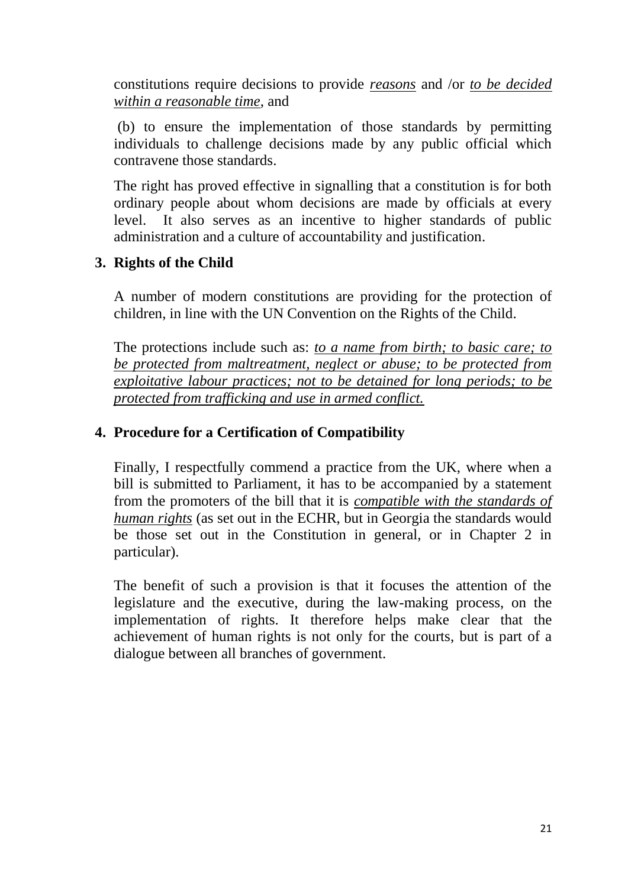constitutions require decisions to provide *reasons* and /or *to be decided within a reasonable time*, and

(b) to ensure the implementation of those standards by permitting individuals to challenge decisions made by any public official which contravene those standards.

The right has proved effective in signalling that a constitution is for both ordinary people about whom decisions are made by officials at every level. It also serves as an incentive to higher standards of public administration and a culture of accountability and justification.

#### **3. Rights of the Child**

A number of modern constitutions are providing for the protection of children, in line with the UN Convention on the Rights of the Child.

The protections include such as: *to a name from birth; to basic care; to be protected from maltreatment, neglect or abuse; to be protected from exploitative labour practices; not to be detained for long periods; to be protected from trafficking and use in armed conflict.* 

#### **4. Procedure for a Certification of Compatibility**

Finally, I respectfully commend a practice from the UK, where when a bill is submitted to Parliament, it has to be accompanied by a statement from the promoters of the bill that it is *compatible with the standards of human rights* (as set out in the ECHR, but in Georgia the standards would be those set out in the Constitution in general, or in Chapter 2 in particular).

The benefit of such a provision is that it focuses the attention of the legislature and the executive, during the law-making process, on the implementation of rights. It therefore helps make clear that the achievement of human rights is not only for the courts, but is part of a dialogue between all branches of government.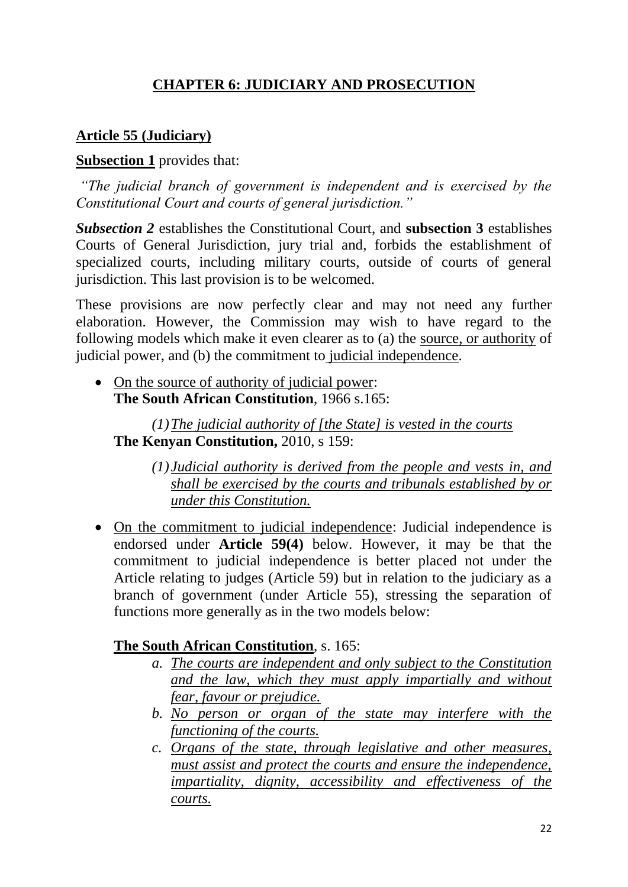# **CHAPTER 6: JUDICIARY AND PROSECUTION**

## **Article 55 (Judiciary)**

#### **Subsection 1** provides that:

*"The judicial branch of government is independent and is exercised by the Constitutional Court and courts of general jurisdiction."*

*Subsection 2* establishes the Constitutional Court, and **subsection 3** establishes Courts of General Jurisdiction, jury trial and, forbids the establishment of specialized courts, including military courts, outside of courts of general jurisdiction. This last provision is to be welcomed.

These provisions are now perfectly clear and may not need any further elaboration. However, the Commission may wish to have regard to the following models which make it even clearer as to (a) the source, or authority of judicial power, and (b) the commitment to judicial independence.

• On the source of authority of judicial power: **The South African Constitution**, 1966 s.165:

*(1)The judicial authority of [the State] is vested in the courts* **The Kenyan Constitution,** 2010, s 159:

*(1) Judicial authority is derived from the people and vests in, and shall be exercised by the courts and tribunals established by or under this Constitution.*

 On the commitment to judicial independence: Judicial independence is endorsed under **Article 59(4)** below. However, it may be that the commitment to judicial independence is better placed not under the Article relating to judges (Article 59) but in relation to the judiciary as a branch of government (under Article 55), stressing the separation of functions more generally as in the two models below:

#### **The South African Constitution**, s. 165:

- *a. The courts are independent and only subject to the Constitution and the law, which they must apply impartially and without fear, favour or prejudice.*
- *b. No person or organ of the state may interfere with the functioning of the courts.*
- *c. Organs of the state, through legislative and other measures, must assist and protect the courts and ensure the independence, impartiality, dignity, accessibility and effectiveness of the courts.*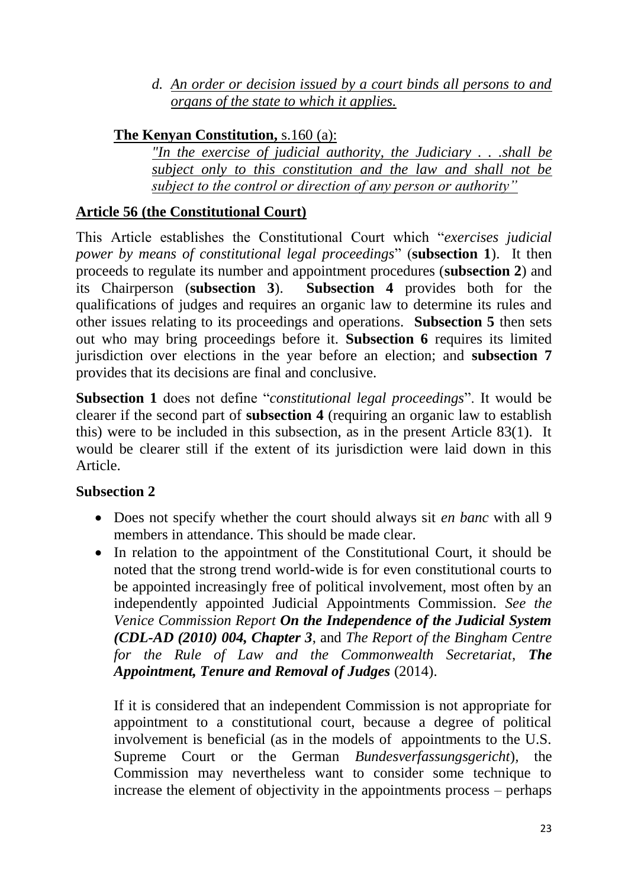*d. An order or decision issued by a court binds all persons to and organs of the state to which it applies.* 

### **The Kenyan Constitution,** s.160 (a):

*"In the exercise of judicial authority, the Judiciary . . .shall be subject only to this constitution and the law and shall not be subject to the control or direction of any person or authority"*

# **Article 56 (the Constitutional Court)**

This Article establishes the Constitutional Court which "*exercises judicial power by means of constitutional legal proceedings*" (**subsection 1**). It then proceeds to regulate its number and appointment procedures (**subsection 2**) and its Chairperson (**subsection 3**). **Subsection 4** provides both for the qualifications of judges and requires an organic law to determine its rules and other issues relating to its proceedings and operations. **Subsection 5** then sets out who may bring proceedings before it. **Subsection 6** requires its limited jurisdiction over elections in the year before an election; and **subsection 7**  provides that its decisions are final and conclusive.

**Subsection 1** does not define "*constitutional legal proceedings*". It would be clearer if the second part of **subsection 4** (requiring an organic law to establish this) were to be included in this subsection, as in the present Article 83(1). It would be clearer still if the extent of its jurisdiction were laid down in this Article.

### **Subsection 2**

- Does not specify whether the court should always sit *en banc* with all 9 members in attendance. This should be made clear.
- In relation to the appointment of the Constitutional Court, it should be noted that the strong trend world-wide is for even constitutional courts to be appointed increasingly free of political involvement, most often by an independently appointed Judicial Appointments Commission. *See the Venice Commission Report On the Independence of the Judicial System (CDL-AD (2010) 004, Chapter 3*, and *The Report of the Bingham Centre for the Rule of Law and the Commonwealth Secretariat*, *The Appointment, Tenure and Removal of Judges* (2014).

If it is considered that an independent Commission is not appropriate for appointment to a constitutional court, because a degree of political involvement is beneficial (as in the models of appointments to the U.S. Supreme Court or the German *Bundesverfassungsgericht*)*,* the Commission may nevertheless want to consider some technique to increase the element of objectivity in the appointments process – perhaps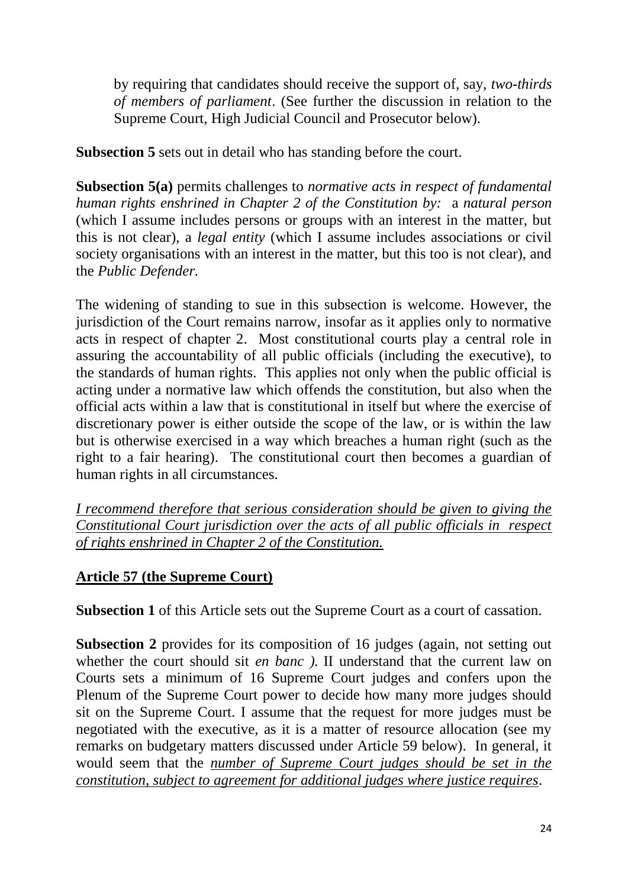by requiring that candidates should receive the support of, say, *two-thirds of members of parliament*. (See further the discussion in relation to the Supreme Court, High Judicial Council and Prosecutor below).

**Subsection 5** sets out in detail who has standing before the court.

**Subsection 5(a)** permits challenges to *normative acts in respect of fundamental human rights enshrined in Chapter 2 of the Constitution by:* a *natural person*  (which I assume includes persons or groups with an interest in the matter, but this is not clear), a *legal entity* (which I assume includes associations or civil society organisations with an interest in the matter, but this too is not clear), and the *Public Defender.*

The widening of standing to sue in this subsection is welcome. However, the jurisdiction of the Court remains narrow, insofar as it applies only to normative acts in respect of chapter 2. Most constitutional courts play a central role in assuring the accountability of all public officials (including the executive), to the standards of human rights. This applies not only when the public official is acting under a normative law which offends the constitution, but also when the official acts within a law that is constitutional in itself but where the exercise of discretionary power is either outside the scope of the law, or is within the law but is otherwise exercised in a way which breaches a human right (such as the right to a fair hearing). The constitutional court then becomes a guardian of human rights in all circumstances.

*I recommend therefore that serious consideration should be given to giving the Constitutional Court jurisdiction over the acts of all public officials in respect of rights enshrined in Chapter 2 of the Constitution.* 

### **Article 57 (the Supreme Court)**

**Subsection 1** of this Article sets out the Supreme Court as a court of cassation.

**Subsection 2** provides for its composition of 16 judges (again, not setting out whether the court should sit *en banc ).* II understand that the current law on Courts sets a minimum of 16 Supreme Court judges and confers upon the Plenum of the Supreme Court power to decide how many more judges should sit on the Supreme Court. I assume that the request for more judges must be negotiated with the executive, as it is a matter of resource allocation (see my remarks on budgetary matters discussed under Article 59 below). In general, it would seem that the *number of Supreme Court judges should be set in the constitution, subject to agreement for additional judges where justice requires*.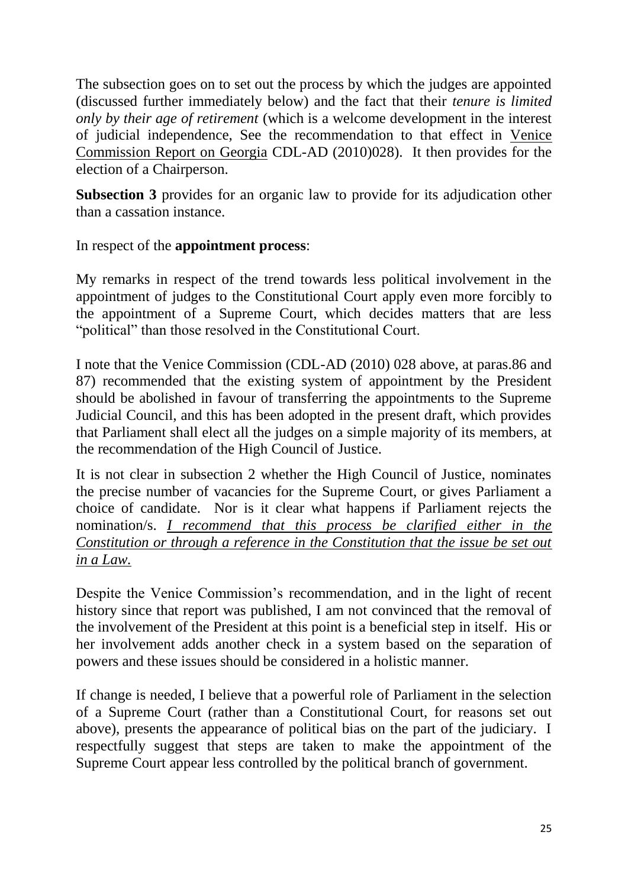The subsection goes on to set out the process by which the judges are appointed (discussed further immediately below) and the fact that their *tenure is limited only by their age of retirement* (which is a welcome development in the interest of judicial independence, See the recommendation to that effect in Venice Commission Report on Georgia CDL-AD (2010)028). It then provides for the election of a Chairperson.

**Subsection 3** provides for an organic law to provide for its adjudication other than a cassation instance.

In respect of the **appointment process**:

My remarks in respect of the trend towards less political involvement in the appointment of judges to the Constitutional Court apply even more forcibly to the appointment of a Supreme Court, which decides matters that are less "political" than those resolved in the Constitutional Court.

I note that the Venice Commission (CDL-AD (2010) 028 above, at paras.86 and 87) recommended that the existing system of appointment by the President should be abolished in favour of transferring the appointments to the Supreme Judicial Council, and this has been adopted in the present draft, which provides that Parliament shall elect all the judges on a simple majority of its members, at the recommendation of the High Council of Justice.

It is not clear in subsection 2 whether the High Council of Justice, nominates the precise number of vacancies for the Supreme Court, or gives Parliament a choice of candidate. Nor is it clear what happens if Parliament rejects the nomination/s. *I recommend that this process be clarified either in the Constitution or through a reference in the Constitution that the issue be set out in a Law.* 

Despite the Venice Commission's recommendation, and in the light of recent history since that report was published, I am not convinced that the removal of the involvement of the President at this point is a beneficial step in itself. His or her involvement adds another check in a system based on the separation of powers and these issues should be considered in a holistic manner.

If change is needed, I believe that a powerful role of Parliament in the selection of a Supreme Court (rather than a Constitutional Court, for reasons set out above), presents the appearance of political bias on the part of the judiciary. I respectfully suggest that steps are taken to make the appointment of the Supreme Court appear less controlled by the political branch of government.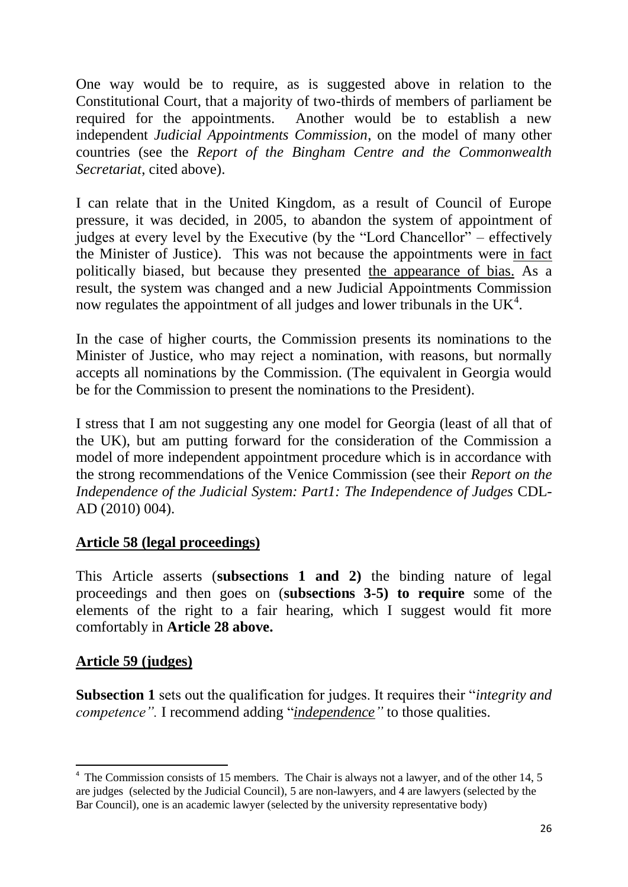One way would be to require, as is suggested above in relation to the Constitutional Court, that a majority of two-thirds of members of parliament be required for the appointments. Another would be to establish a new independent *Judicial Appointments Commission*, on the model of many other countries (see the *Report of the Bingham Centre and the Commonwealth Secretariat*, cited above).

I can relate that in the United Kingdom, as a result of Council of Europe pressure, it was decided, in 2005, to abandon the system of appointment of judges at every level by the Executive (by the "Lord Chancellor" – effectively the Minister of Justice). This was not because the appointments were in fact politically biased, but because they presented the appearance of bias. As a result, the system was changed and a new Judicial Appointments Commission now regulates the appointment of all judges and lower tribunals in the  $UK<sup>4</sup>$ .

In the case of higher courts, the Commission presents its nominations to the Minister of Justice, who may reject a nomination, with reasons, but normally accepts all nominations by the Commission. (The equivalent in Georgia would be for the Commission to present the nominations to the President).

I stress that I am not suggesting any one model for Georgia (least of all that of the UK), but am putting forward for the consideration of the Commission a model of more independent appointment procedure which is in accordance with the strong recommendations of the Venice Commission (see their *Report on the Independence of the Judicial System: Part1: The Independence of Judges* CDL-AD (2010) 004).

#### **Article 58 (legal proceedings)**

This Article asserts (**subsections 1 and 2)** the binding nature of legal proceedings and then goes on (**subsections 3-5) to require** some of the elements of the right to a fair hearing, which I suggest would fit more comfortably in **Article 28 above.**

### **Article 59 (judges)**

1

**Subsection 1** sets out the qualification for judges. It requires their "*integrity and competence".* I recommend adding "*independence"* to those qualities.

<sup>&</sup>lt;sup>4</sup> The Commission consists of 15 members. The Chair is always not a lawyer, and of the other 14, 5 are judges (selected by the Judicial Council), 5 are non-lawyers, and 4 are lawyers (selected by the Bar Council), one is an academic lawyer (selected by the university representative body)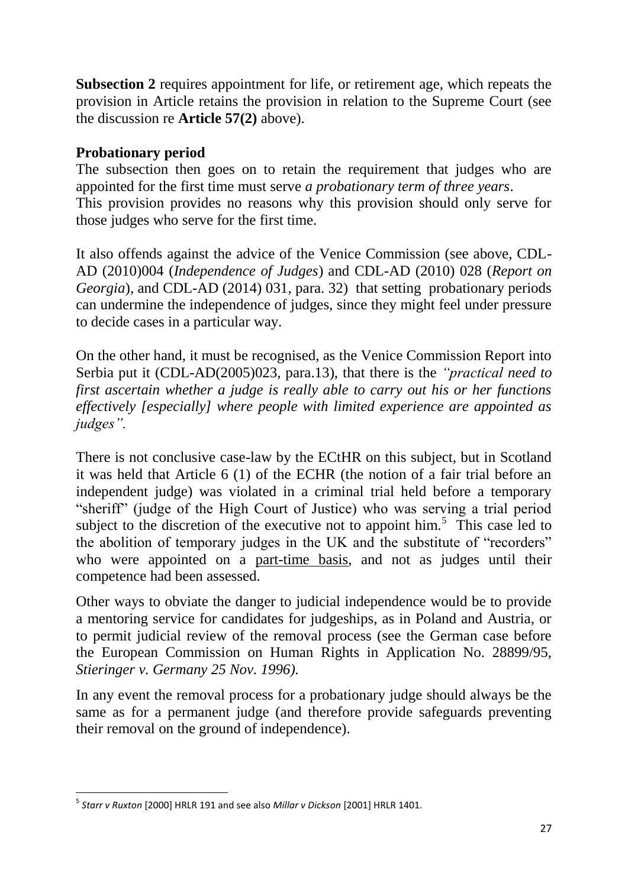**Subsection 2** requires appointment for life, or retirement age, which repeats the provision in Article retains the provision in relation to the Supreme Court (see the discussion re **Article 57(2)** above).

#### **Probationary period**

The subsection then goes on to retain the requirement that judges who are appointed for the first time must serve *a probationary term of three years*. This provision provides no reasons why this provision should only serve for those judges who serve for the first time.

It also offends against the advice of the Venice Commission (see above, CDL-AD (2010)004 (*Independence of Judges*) and CDL-AD (2010) 028 (*Report on Georgia*), and CDL-AD (2014) 031, para. 32) that setting probationary periods can undermine the independence of judges, since they might feel under pressure to decide cases in a particular way.

On the other hand, it must be recognised, as the Venice Commission Report into Serbia put it (CDL-AD(2005)023, para.13), that there is the *"practical need to first ascertain whether a judge is really able to carry out his or her functions effectively [especially] where people with limited experience are appointed as judges".*

There is not conclusive case-law by the ECtHR on this subject, but in Scotland it was held that Article 6 (1) of the ECHR (the notion of a fair trial before an independent judge) was violated in a criminal trial held before a temporary "sheriff" (judge of the High Court of Justice) who was serving a trial period subject to the discretion of the executive not to appoint  $\lim_{n \to \infty}$ . This case led to the abolition of temporary judges in the UK and the substitute of "recorders" who were appointed on a part-time basis, and not as judges until their competence had been assessed.

Other ways to obviate the danger to judicial independence would be to provide a mentoring service for candidates for judgeships, as in Poland and Austria, or to permit judicial review of the removal process (see the German case before the European Commission on Human Rights in Application No. 28899/95, *Stieringer v. Germany 25 Nov. 1996).* 

In any event the removal process for a probationary judge should always be the same as for a permanent judge (and therefore provide safeguards preventing their removal on the ground of independence).

**<sup>.</sup>** 5 *Starr v Ruxton* [2000] HRLR 191 and see also *Millar v Dickson* [2001] HRLR 1401.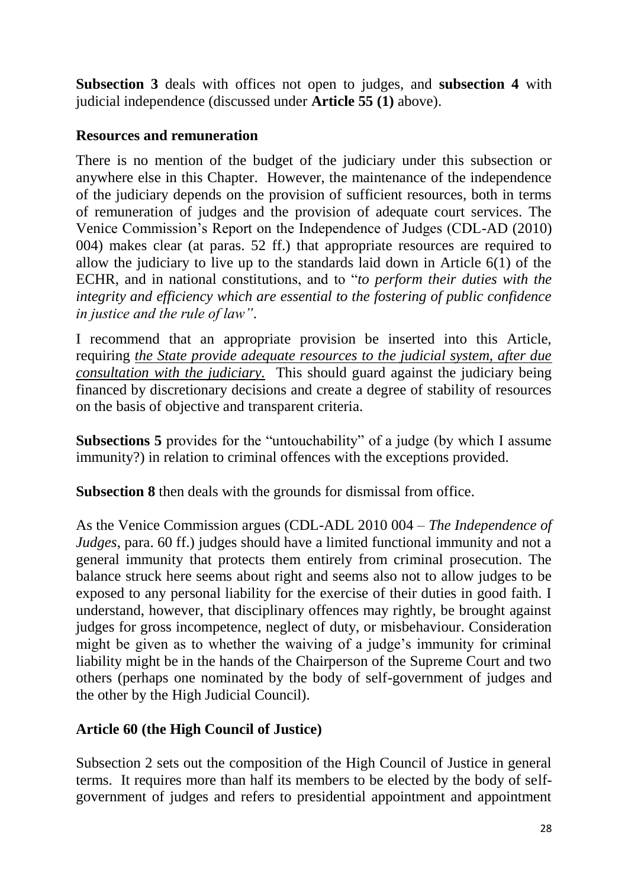**Subsection 3** deals with offices not open to judges, and **subsection 4** with judicial independence (discussed under **Article 55 (1)** above).

#### **Resources and remuneration**

There is no mention of the budget of the judiciary under this subsection or anywhere else in this Chapter. However, the maintenance of the independence of the judiciary depends on the provision of sufficient resources, both in terms of remuneration of judges and the provision of adequate court services. The Venice Commission's Report on the Independence of Judges (CDL-AD (2010) 004) makes clear (at paras. 52 ff.) that appropriate resources are required to allow the judiciary to live up to the standards laid down in Article  $6(1)$  of the ECHR, and in national constitutions, and to "*to perform their duties with the integrity and efficiency which are essential to the fostering of public confidence in justice and the rule of law"*.

I recommend that an appropriate provision be inserted into this Article, requiring *the State provide adequate resources to the judicial system, after due consultation with the judiciary.* This should guard against the judiciary being financed by discretionary decisions and create a degree of stability of resources on the basis of objective and transparent criteria.

**Subsections 5** provides for the "untouchability" of a judge (by which I assume immunity?) in relation to criminal offences with the exceptions provided.

**Subsection 8** then deals with the grounds for dismissal from office.

As the Venice Commission argues (CDL-ADL 2010 004 – *The Independence of Judges*, para. 60 ff.) judges should have a limited functional immunity and not a general immunity that protects them entirely from criminal prosecution. The balance struck here seems about right and seems also not to allow judges to be exposed to any personal liability for the exercise of their duties in good faith. I understand, however, that disciplinary offences may rightly, be brought against judges for gross incompetence, neglect of duty, or misbehaviour. Consideration might be given as to whether the waiving of a judge's immunity for criminal liability might be in the hands of the Chairperson of the Supreme Court and two others (perhaps one nominated by the body of self-government of judges and the other by the High Judicial Council).

### **Article 60 (the High Council of Justice)**

Subsection 2 sets out the composition of the High Council of Justice in general terms. It requires more than half its members to be elected by the body of selfgovernment of judges and refers to presidential appointment and appointment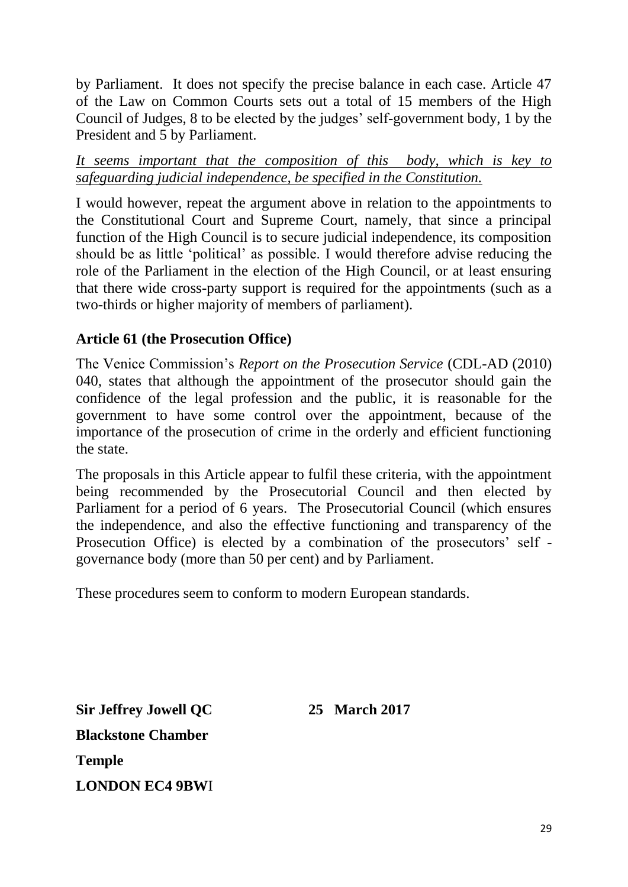by Parliament. It does not specify the precise balance in each case. Article 47 of the Law on Common Courts sets out a total of 15 members of the High Council of Judges, 8 to be elected by the judges' self-government body, 1 by the President and 5 by Parliament.

*It seems important that the composition of this body, which is key to safeguarding judicial independence, be specified in the Constitution.* 

I would however, repeat the argument above in relation to the appointments to the Constitutional Court and Supreme Court, namely, that since a principal function of the High Council is to secure judicial independence, its composition should be as little 'political' as possible. I would therefore advise reducing the role of the Parliament in the election of the High Council, or at least ensuring that there wide cross-party support is required for the appointments (such as a two-thirds or higher majority of members of parliament).

### **Article 61 (the Prosecution Office)**

The Venice Commission's *Report on the Prosecution Service* (CDL-AD (2010) 040, states that although the appointment of the prosecutor should gain the confidence of the legal profession and the public, it is reasonable for the government to have some control over the appointment, because of the importance of the prosecution of crime in the orderly and efficient functioning the state.

The proposals in this Article appear to fulfil these criteria, with the appointment being recommended by the Prosecutorial Council and then elected by Parliament for a period of 6 years. The Prosecutorial Council (which ensures the independence, and also the effective functioning and transparency of the Prosecution Office) is elected by a combination of the prosecutors' self governance body (more than 50 per cent) and by Parliament.

These procedures seem to conform to modern European standards.

**Sir Jeffrey Jowell QC 25 March 2017 Blackstone Chamber Temple LONDON EC4 9BW**I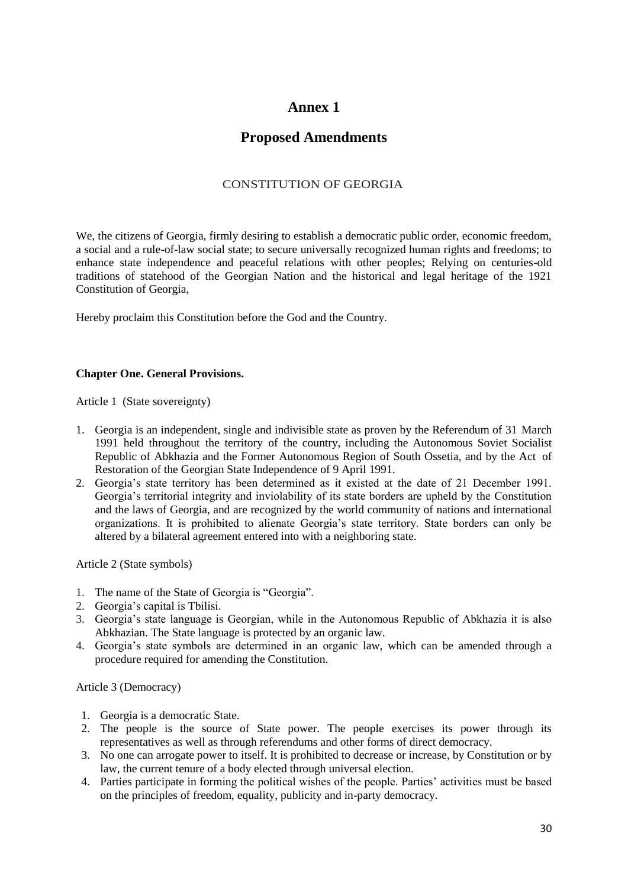#### **Annex 1**

#### **Proposed Amendments**

#### CONSTITUTION OF GEORGIA

We, the citizens of Georgia, firmly desiring to establish a democratic public order, economic freedom, a social and a rule-of-law social state; to secure universally recognized human rights and freedoms; to enhance state independence and peaceful relations with other peoples; Relying on centuries-old traditions of statehood of the Georgian Nation and the historical and legal heritage of the 1921 Constitution of Georgia,

Hereby proclaim this Constitution before the God and the Country.

#### **Chapter One. General Provisions.**

Article 1 (State sovereignty)

- 1. Georgia is an independent, single and indivisible state as proven by the Referendum of 31 March 1991 held throughout the territory of the country, including the Autonomous Soviet Socialist Republic of Abkhazia and the Former Autonomous Region of South Ossetia, and by the Act of Restoration of the Georgian State Independence of 9 April 1991.
- 2. Georgia's state territory has been determined as it existed at the date of 21 December 1991. Georgia's territorial integrity and inviolability of its state borders are upheld by the Constitution and the laws of Georgia, and are recognized by the world community of nations and international organizations. It is prohibited to alienate Georgia's state territory. State borders can only be altered by a bilateral agreement entered into with a neighboring state.

Article 2 (State symbols)

- 1. The name of the State of Georgia is "Georgia".
- 2. Georgia's capital is Tbilisi.
- 3. Georgia's state language is Georgian, while in the Autonomous Republic of Abkhazia it is also Abkhazian. The State language is protected by an organic law.
- 4. Georgia's state symbols are determined in an organic law, which can be amended through a procedure required for amending the Constitution.

Article 3 (Democracy)

- 1. Georgia is a democratic State.
- 2. The people is the source of State power. The people exercises its power through its representatives as well as through referendums and other forms of direct democracy.
- 3. No one can arrogate power to itself. It is prohibited to decrease or increase, by Constitution or by law, the current tenure of a body elected through universal election.
- 4. Parties participate in forming the political wishes of the people. Parties' activities must be based on the principles of freedom, equality, publicity and in-party democracy.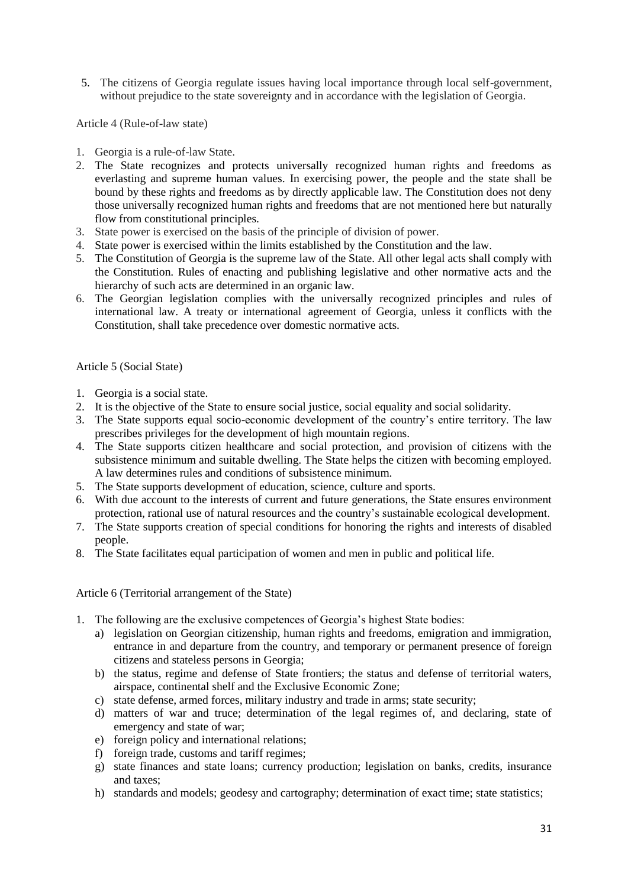5. The citizens of Georgia regulate issues having local importance through local self-government, without prejudice to the state sovereignty and in accordance with the legislation of Georgia.

Article 4 (Rule-of-law state)

- 1. Georgia is a rule-of-law State.
- 2. The State recognizes and protects universally recognized human rights and freedoms as everlasting and supreme human values. In exercising power, the people and the state shall be bound by these rights and freedoms as by directly applicable law. The Constitution does not deny those universally recognized human rights and freedoms that are not mentioned here but naturally flow from constitutional principles.
- 3. State power is exercised on the basis of the principle of division of power.
- 4. State power is exercised within the limits established by the Constitution and the law.
- 5. The Constitution of Georgia is the supreme law of the State. All other legal acts shall comply with the Constitution. Rules of enacting and publishing legislative and other normative acts and the hierarchy of such acts are determined in an organic law.
- 6. The Georgian legislation complies with the universally recognized principles and rules of international law. A treaty or international agreement of Georgia, unless it conflicts with the Constitution, shall take precedence over domestic normative acts.

#### Article 5 (Social State)

- 1. Georgia is a social state.
- 2. It is the objective of the State to ensure social justice, social equality and social solidarity.
- 3. The State supports equal socio-economic development of the country's entire territory. The law prescribes privileges for the development of high mountain regions.
- 4. The State supports citizen healthcare and social protection, and provision of citizens with the subsistence minimum and suitable dwelling. The State helps the citizen with becoming employed. A law determines rules and conditions of subsistence minimum.
- 5. The State supports development of education, science, culture and sports.
- 6. With due account to the interests of current and future generations, the State ensures environment protection, rational use of natural resources and the country's sustainable ecological development.
- 7. The State supports creation of special conditions for honoring the rights and interests of disabled people.
- 8. The State facilitates equal participation of women and men in public and political life.

Article 6 (Territorial arrangement of the State)

- 1. The following are the exclusive competences of Georgia's highest State bodies:
	- a) legislation on Georgian citizenship, human rights and freedoms, emigration and immigration, entrance in and departure from the country, and temporary or permanent presence of foreign citizens and stateless persons in Georgia;
	- b) the status, regime and defense of State frontiers; the status and defense of territorial waters, airspace, continental shelf and the Exclusive Economic Zone;
	- c) state defense, armed forces, military industry and trade in arms; state security;
	- d) matters of war and truce; determination of the legal regimes of, and declaring, state of emergency and state of war;
	- e) foreign policy and international relations;
	- f) foreign trade, customs and tariff regimes;
	- g) state finances and state loans; currency production; legislation on banks, credits, insurance and taxes;
	- h) standards and models; geodesy and cartography; determination of exact time; state statistics;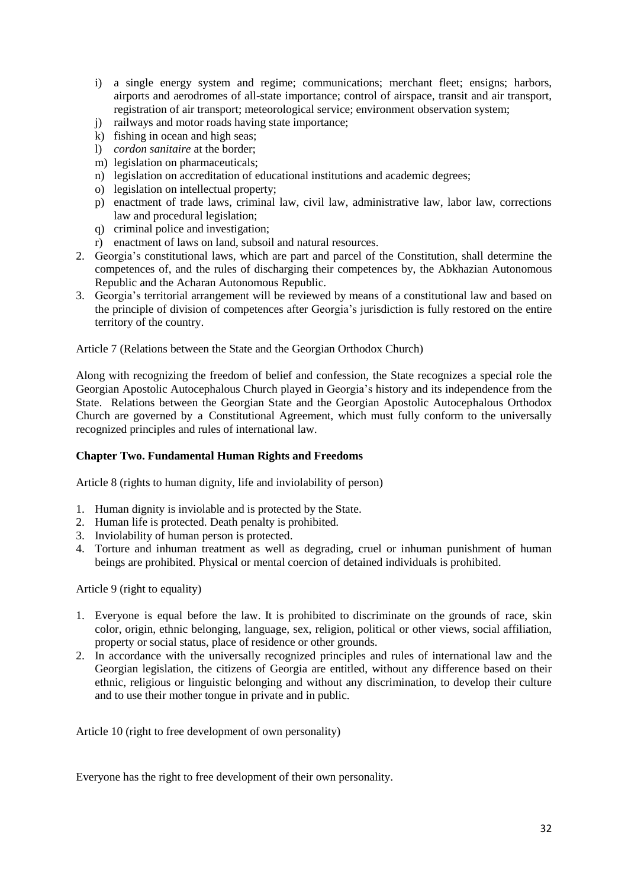- i) a single energy system and regime; communications; merchant fleet; ensigns; harbors, airports and aerodromes of all-state importance; control of airspace, transit and air transport, registration of air transport; meteorological service; environment observation system;
- j) railways and motor roads having state importance;
- k) fishing in ocean and high seas;
- l) *cordon sanitaire* at the border;
- m) legislation on pharmaceuticals;
- n) legislation on accreditation of educational institutions and academic degrees;
- o) legislation on intellectual property;
- p) enactment of trade laws, criminal law, civil law, administrative law, labor law, corrections law and procedural legislation;
- q) criminal police and investigation;
- r) enactment of laws on land, subsoil and natural resources.
- 2. Georgia's constitutional laws, which are part and parcel of the Constitution, shall determine the competences of, and the rules of discharging their competences by, the Abkhazian Autonomous Republic and the Acharan Autonomous Republic.
- 3. Georgia's territorial arrangement will be reviewed by means of a constitutional law and based on the principle of division of competences after Georgia's jurisdiction is fully restored on the entire territory of the country.

Article 7 (Relations between the State and the Georgian Orthodox Church)

Along with recognizing the freedom of belief and confession, the State recognizes a special role the Georgian Apostolic Autocephalous Church played in Georgia's history and its independence from the State. Relations between the Georgian State and the Georgian Apostolic Autocephalous Orthodox Church are governed by a Constitutional Agreement, which must fully conform to the universally recognized principles and rules of international law.

#### **Chapter Two. Fundamental Human Rights and Freedoms**

Article 8 (rights to human dignity, life and inviolability of person)

- 1. Human dignity is inviolable and is protected by the State.
- 2. Human life is protected. Death penalty is prohibited.
- 3. Inviolability of human person is protected.
- 4. Torture and inhuman treatment as well as degrading, cruel or inhuman punishment of human beings are prohibited. Physical or mental coercion of detained individuals is prohibited.

Article 9 (right to equality)

- 1. Everyone is equal before the law. It is prohibited to discriminate on the grounds of race, skin color, origin, ethnic belonging, language, sex, religion, political or other views, social affiliation, property or social status, place of residence or other grounds.
- 2. In accordance with the universally recognized principles and rules of international law and the Georgian legislation, the citizens of Georgia are entitled, without any difference based on their ethnic, religious or linguistic belonging and without any discrimination, to develop their culture and to use their mother tongue in private and in public.

Article 10 (right to free development of own personality)

Everyone has the right to free development of their own personality.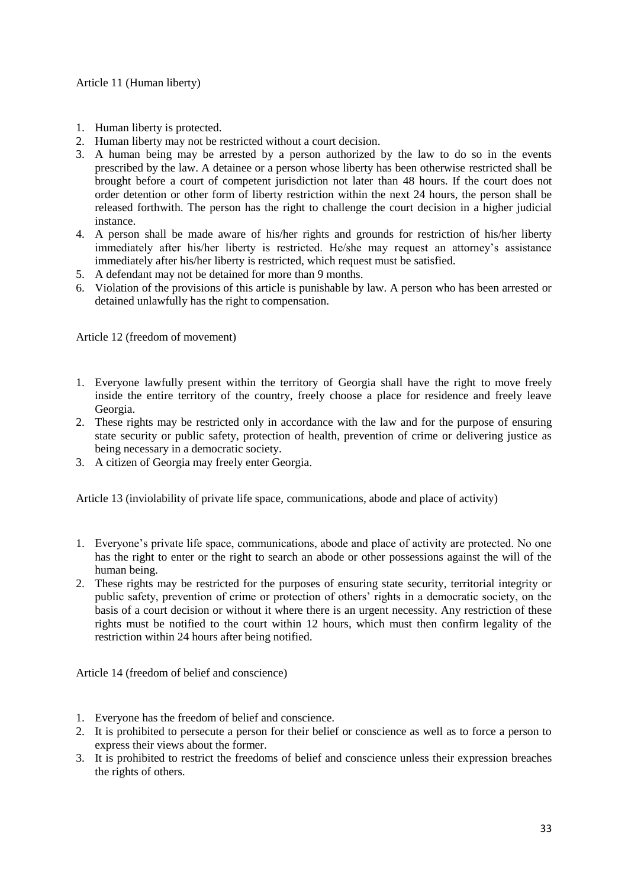- 1. Human liberty is protected.
- 2. Human liberty may not be restricted without a court decision.
- 3. A human being may be arrested by a person authorized by the law to do so in the events prescribed by the law. A detainee or a person whose liberty has been otherwise restricted shall be brought before a court of competent jurisdiction not later than 48 hours. If the court does not order detention or other form of liberty restriction within the next 24 hours, the person shall be released forthwith. The person has the right to challenge the court decision in a higher judicial instance.
- 4. A person shall be made aware of his/her rights and grounds for restriction of his/her liberty immediately after his/her liberty is restricted. He/she may request an attorney's assistance immediately after his/her liberty is restricted, which request must be satisfied.
- 5. A defendant may not be detained for more than 9 months.
- 6. Violation of the provisions of this article is punishable by law. A person who has been arrested or detained unlawfully has the right to compensation.

Article 12 (freedom of movement)

- 1. Everyone lawfully present within the territory of Georgia shall have the right to move freely inside the entire territory of the country, freely choose a place for residence and freely leave Georgia.
- 2. These rights may be restricted only in accordance with the law and for the purpose of ensuring state security or public safety, protection of health, prevention of crime or delivering justice as being necessary in a democratic society.
- 3. A citizen of Georgia may freely enter Georgia.

Article 13 (inviolability of private life space, communications, abode and place of activity)

- 1. Everyone's private life space, communications, abode and place of activity are protected. No one has the right to enter or the right to search an abode or other possessions against the will of the human being.
- 2. These rights may be restricted for the purposes of ensuring state security, territorial integrity or public safety, prevention of crime or protection of others' rights in a democratic society, on the basis of a court decision or without it where there is an urgent necessity. Any restriction of these rights must be notified to the court within 12 hours, which must then confirm legality of the restriction within 24 hours after being notified.

Article 14 (freedom of belief and conscience)

- 1. Everyone has the freedom of belief and conscience.
- 2. It is prohibited to persecute a person for their belief or conscience as well as to force a person to express their views about the former.
- 3. It is prohibited to restrict the freedoms of belief and conscience unless their expression breaches the rights of others.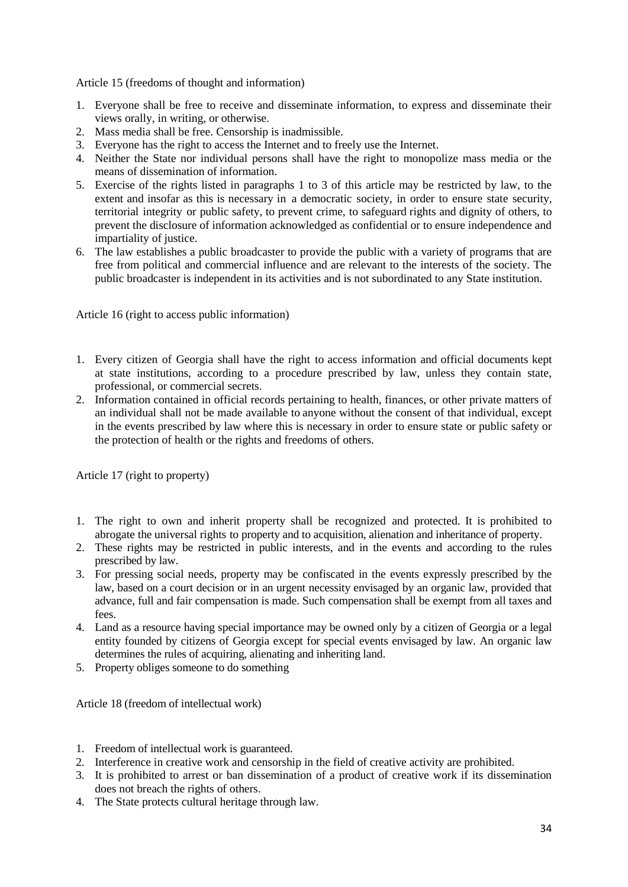Article 15 (freedoms of thought and information)

- 1. Everyone shall be free to receive and disseminate information, to express and disseminate their views orally, in writing, or otherwise.
- 2. Mass media shall be free. Censorship is inadmissible.
- 3. Everyone has the right to access the Internet and to freely use the Internet.
- 4. Neither the State nor individual persons shall have the right to monopolize mass media or the means of dissemination of information.
- 5. Exercise of the rights listed in paragraphs 1 to 3 of this article may be restricted by law, to the extent and insofar as this is necessary in a democratic society, in order to ensure state security, territorial integrity or public safety, to prevent crime, to safeguard rights and dignity of others, to prevent the disclosure of information acknowledged as confidential or to ensure independence and impartiality of justice.
- 6. The law establishes a public broadcaster to provide the public with a variety of programs that are free from political and commercial influence and are relevant to the interests of the society. The public broadcaster is independent in its activities and is not subordinated to any State institution.

Article 16 (right to access public information)

- 1. Every citizen of Georgia shall have the right to access information and official documents kept at state institutions, according to a procedure prescribed by law, unless they contain state, professional, or commercial secrets.
- 2. Information contained in official records pertaining to health, finances, or other private matters of an individual shall not be made available to anyone without the consent of that individual, except in the events prescribed by law where this is necessary in order to ensure state or public safety or the protection of health or the rights and freedoms of others.

Article 17 (right to property)

- 1. The right to own and inherit property shall be recognized and protected. It is prohibited to abrogate the universal rights to property and to acquisition, alienation and inheritance of property.
- 2. These rights may be restricted in public interests, and in the events and according to the rules prescribed by law.
- 3. For pressing social needs, property may be confiscated in the events expressly prescribed by the law, based on a court decision or in an urgent necessity envisaged by an organic law, provided that advance, full and fair compensation is made. Such compensation shall be exempt from all taxes and fees.
- 4. Land as a resource having special importance may be owned only by a citizen of Georgia or a legal entity founded by citizens of Georgia except for special events envisaged by law. An organic law determines the rules of acquiring, alienating and inheriting land.
- 5. Property obliges someone to do something

Article 18 (freedom of intellectual work)

- 1. Freedom of intellectual work is guaranteed.
- 2. Interference in creative work and censorship in the field of creative activity are prohibited.
- 3. It is prohibited to arrest or ban dissemination of a product of creative work if its dissemination does not breach the rights of others.
- 4. The State protects cultural heritage through law.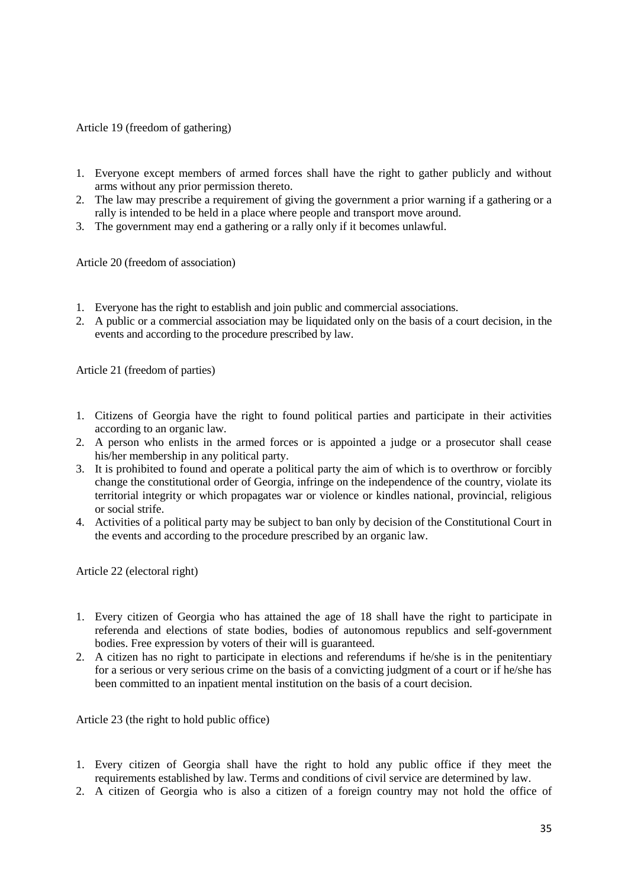Article 19 (freedom of gathering)

- 1. Everyone except members of armed forces shall have the right to gather publicly and without arms without any prior permission thereto.
- 2. The law may prescribe a requirement of giving the government a prior warning if a gathering or a rally is intended to be held in a place where people and transport move around.
- 3. The government may end a gathering or a rally only if it becomes unlawful.

Article 20 (freedom of association)

- 1. Everyone has the right to establish and join public and commercial associations.
- 2. A public or a commercial association may be liquidated only on the basis of a court decision, in the events and according to the procedure prescribed by law.

Article 21 (freedom of parties)

- 1. Citizens of Georgia have the right to found political parties and participate in their activities according to an organic law.
- 2. A person who enlists in the armed forces or is appointed a judge or a prosecutor shall cease his/her membership in any political party.
- 3. It is prohibited to found and operate a political party the aim of which is to overthrow or forcibly change the constitutional order of Georgia, infringe on the independence of the country, violate its territorial integrity or which propagates war or violence or kindles national, provincial, religious or social strife.
- 4. Activities of a political party may be subject to ban only by decision of the Constitutional Court in the events and according to the procedure prescribed by an organic law.

Article 22 (electoral right)

- 1. Every citizen of Georgia who has attained the age of 18 shall have the right to participate in referenda and elections of state bodies, bodies of autonomous republics and self-government bodies. Free expression by voters of their will is guaranteed.
- 2. A citizen has no right to participate in elections and referendums if he/she is in the penitentiary for a serious or very serious crime on the basis of a convicting judgment of a court or if he/she has been committed to an inpatient mental institution on the basis of a court decision.

Article 23 (the right to hold public office)

- 1. Every citizen of Georgia shall have the right to hold any public office if they meet the requirements established by law. Terms and conditions of civil service are determined by law.
- 2. A citizen of Georgia who is also a citizen of a foreign country may not hold the office of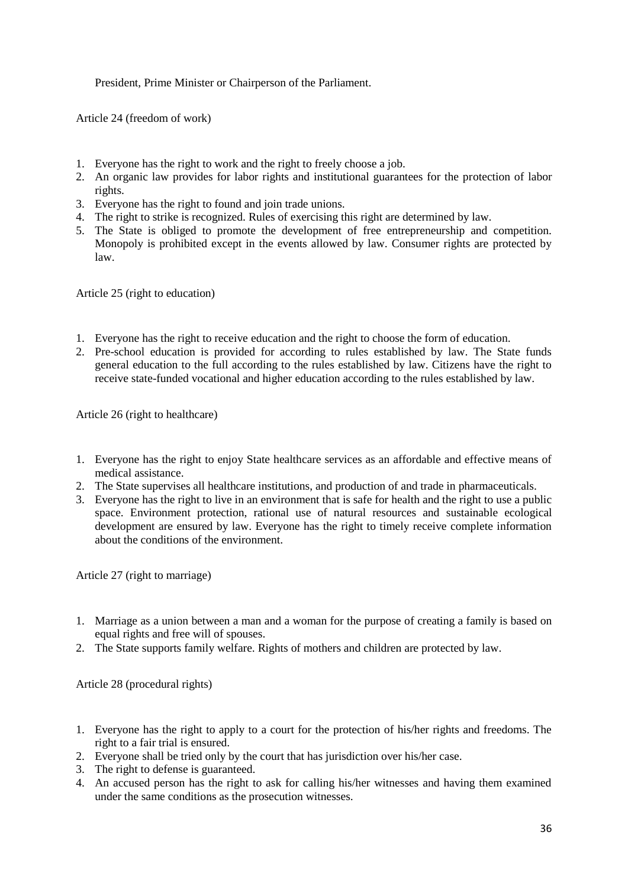President, Prime Minister or Chairperson of the Parliament.

Article 24 (freedom of work)

- 1. Everyone has the right to work and the right to freely choose a job.
- 2. An organic law provides for labor rights and institutional guarantees for the protection of labor rights.
- 3. Everyone has the right to found and join trade unions.
- 4. The right to strike is recognized. Rules of exercising this right are determined by law.
- 5. The State is obliged to promote the development of free entrepreneurship and competition. Monopoly is prohibited except in the events allowed by law. Consumer rights are protected by law.

Article 25 (right to education)

- 1. Everyone has the right to receive education and the right to choose the form of education.
- 2. Pre-school education is provided for according to rules established by law. The State funds general education to the full according to the rules established by law. Citizens have the right to receive state-funded vocational and higher education according to the rules established by law.

Article 26 (right to healthcare)

- 1. Everyone has the right to enjoy State healthcare services as an affordable and effective means of medical assistance.
- 2. The State supervises all healthcare institutions, and production of and trade in pharmaceuticals.
- 3. Everyone has the right to live in an environment that is safe for health and the right to use a public space. Environment protection, rational use of natural resources and sustainable ecological development are ensured by law. Everyone has the right to timely receive complete information about the conditions of the environment.

Article 27 (right to marriage)

- 1. Marriage as a union between a man and a woman for the purpose of creating a family is based on equal rights and free will of spouses.
- 2. The State supports family welfare. Rights of mothers and children are protected by law.

Article 28 (procedural rights)

- 1. Everyone has the right to apply to a court for the protection of his/her rights and freedoms. The right to a fair trial is ensured.
- 2. Everyone shall be tried only by the court that has jurisdiction over his/her case.
- 3. The right to defense is guaranteed.
- 4. An accused person has the right to ask for calling his/her witnesses and having them examined under the same conditions as the prosecution witnesses.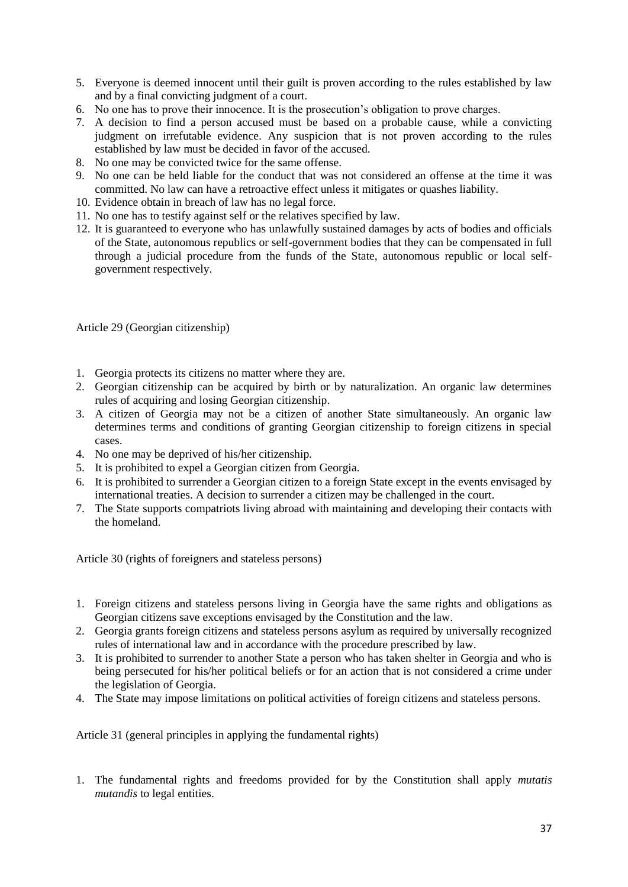- 5. Everyone is deemed innocent until their guilt is proven according to the rules established by law and by a final convicting judgment of a court.
- 6. No one has to prove their innocence. It is the prosecution's obligation to prove charges.
- 7. A decision to find a person accused must be based on a probable cause, while a convicting judgment on irrefutable evidence. Any suspicion that is not proven according to the rules established by law must be decided in favor of the accused.
- 8. No one may be convicted twice for the same offense.
- 9. No one can be held liable for the conduct that was not considered an offense at the time it was committed. No law can have a retroactive effect unless it mitigates or quashes liability.
- 10. Evidence obtain in breach of law has no legal force.
- 11. No one has to testify against self or the relatives specified by law.
- 12. It is guaranteed to everyone who has unlawfully sustained damages by acts of bodies and officials of the State, autonomous republics or self-government bodies that they can be compensated in full through a judicial procedure from the funds of the State, autonomous republic or local selfgovernment respectively.

Article 29 (Georgian citizenship)

- 1. Georgia protects its citizens no matter where they are.
- 2. Georgian citizenship can be acquired by birth or by naturalization. An organic law determines rules of acquiring and losing Georgian citizenship.
- 3. A citizen of Georgia may not be a citizen of another State simultaneously. An organic law determines terms and conditions of granting Georgian citizenship to foreign citizens in special cases.
- 4. No one may be deprived of his/her citizenship.
- 5. It is prohibited to expel a Georgian citizen from Georgia.
- 6. It is prohibited to surrender a Georgian citizen to a foreign State except in the events envisaged by international treaties. A decision to surrender a citizen may be challenged in the court.
- 7. The State supports compatriots living abroad with maintaining and developing their contacts with the homeland.

Article 30 (rights of foreigners and stateless persons)

- 1. Foreign citizens and stateless persons living in Georgia have the same rights and obligations as Georgian citizens save exceptions envisaged by the Constitution and the law.
- 2. Georgia grants foreign citizens and stateless persons asylum as required by universally recognized rules of international law and in accordance with the procedure prescribed by law.
- 3. It is prohibited to surrender to another State a person who has taken shelter in Georgia and who is being persecuted for his/her political beliefs or for an action that is not considered a crime under the legislation of Georgia.
- 4. The State may impose limitations on political activities of foreign citizens and stateless persons.

Article 31 (general principles in applying the fundamental rights)

1. The fundamental rights and freedoms provided for by the Constitution shall apply *mutatis mutandis* to legal entities.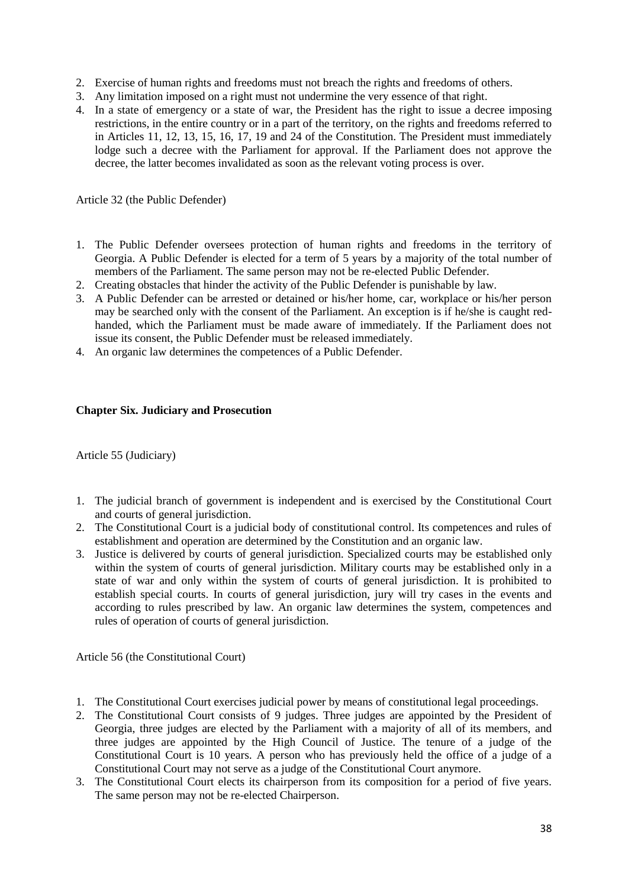- 2. Exercise of human rights and freedoms must not breach the rights and freedoms of others.
- 3. Any limitation imposed on a right must not undermine the very essence of that right.
- 4. In a state of emergency or a state of war, the President has the right to issue a decree imposing restrictions, in the entire country or in a part of the territory, on the rights and freedoms referred to in Articles 11, 12, 13, 15, 16, 17, 19 and 24 of the Constitution. The President must immediately lodge such a decree with the Parliament for approval. If the Parliament does not approve the decree, the latter becomes invalidated as soon as the relevant voting process is over.

Article 32 (the Public Defender)

- 1. The Public Defender oversees protection of human rights and freedoms in the territory of Georgia. A Public Defender is elected for a term of 5 years by a majority of the total number of members of the Parliament. The same person may not be re-elected Public Defender.
- 2. Creating obstacles that hinder the activity of the Public Defender is punishable by law.
- 3. A Public Defender can be arrested or detained or his/her home, car, workplace or his/her person may be searched only with the consent of the Parliament. An exception is if he/she is caught redhanded, which the Parliament must be made aware of immediately. If the Parliament does not issue its consent, the Public Defender must be released immediately.
- 4. An organic law determines the competences of a Public Defender.

#### **Chapter Six. Judiciary and Prosecution**

Article 55 (Judiciary)

- 1. The judicial branch of government is independent and is exercised by the Constitutional Court and courts of general jurisdiction.
- 2. The Constitutional Court is a judicial body of constitutional control. Its competences and rules of establishment and operation are determined by the Constitution and an organic law.
- 3. Justice is delivered by courts of general jurisdiction. Specialized courts may be established only within the system of courts of general jurisdiction. Military courts may be established only in a state of war and only within the system of courts of general jurisdiction. It is prohibited to establish special courts. In courts of general jurisdiction, jury will try cases in the events and according to rules prescribed by law. An organic law determines the system, competences and rules of operation of courts of general jurisdiction.

Article 56 (the Constitutional Court)

- 1. The Constitutional Court exercises judicial power by means of constitutional legal proceedings.
- 2. The Constitutional Court consists of 9 judges. Three judges are appointed by the President of Georgia, three judges are elected by the Parliament with a majority of all of its members, and three judges are appointed by the High Council of Justice. The tenure of a judge of the Constitutional Court is 10 years. A person who has previously held the office of a judge of a Constitutional Court may not serve as a judge of the Constitutional Court anymore.
- 3. The Constitutional Court elects its chairperson from its composition for a period of five years. The same person may not be re-elected Chairperson.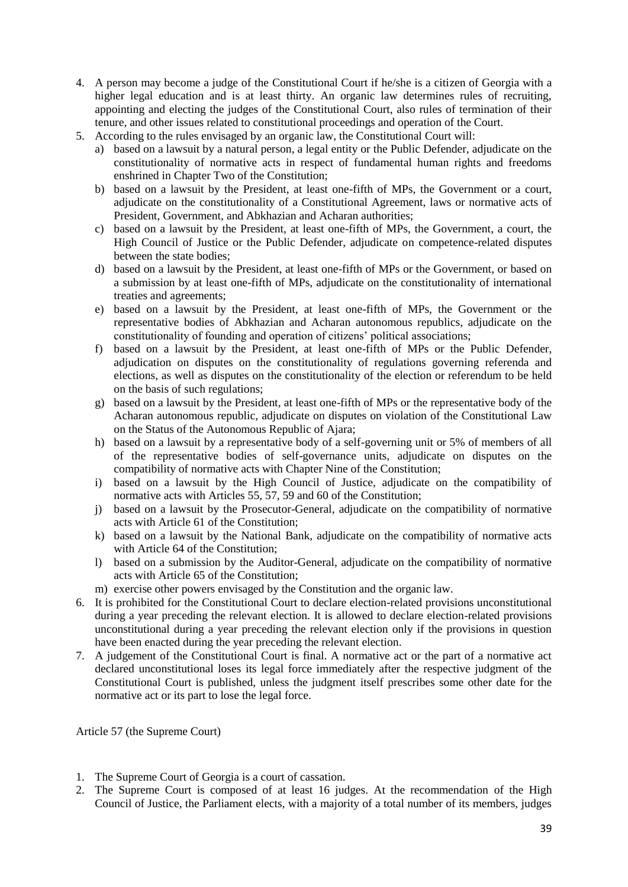- 4. A person may become a judge of the Constitutional Court if he/she is a citizen of Georgia with a higher legal education and is at least thirty. An organic law determines rules of recruiting, appointing and electing the judges of the Constitutional Court, also rules of termination of their tenure, and other issues related to constitutional proceedings and operation of the Court.
- 5. According to the rules envisaged by an organic law, the Constitutional Court will:
	- a) based on a lawsuit by a natural person, a legal entity or the Public Defender, adjudicate on the constitutionality of normative acts in respect of fundamental human rights and freedoms enshrined in Chapter Two of the Constitution;
	- b) based on a lawsuit by the President, at least one-fifth of MPs, the Government or a court, adjudicate on the constitutionality of a Constitutional Agreement, laws or normative acts of President, Government, and Abkhazian and Acharan authorities;
	- c) based on a lawsuit by the President, at least one-fifth of MPs, the Government, a court, the High Council of Justice or the Public Defender, adjudicate on competence-related disputes between the state bodies;
	- d) based on a lawsuit by the President, at least one-fifth of MPs or the Government, or based on a submission by at least one-fifth of MPs, adjudicate on the constitutionality of international treaties and agreements;
	- e) based on a lawsuit by the President, at least one-fifth of MPs, the Government or the representative bodies of Abkhazian and Acharan autonomous republics, adjudicate on the constitutionality of founding and operation of citizens' political associations;
	- f) based on a lawsuit by the President, at least one-fifth of MPs or the Public Defender, adjudication on disputes on the constitutionality of regulations governing referenda and elections, as well as disputes on the constitutionality of the election or referendum to be held on the basis of such regulations;
	- g) based on a lawsuit by the President, at least one-fifth of MPs or the representative body of the Acharan autonomous republic, adjudicate on disputes on violation of the Constitutional Law on the Status of the Autonomous Republic of Ajara;
	- h) based on a lawsuit by a representative body of a self-governing unit or 5% of members of all of the representative bodies of self-governance units, adjudicate on disputes on the compatibility of normative acts with Chapter Nine of the Constitution;
	- i) based on a lawsuit by the High Council of Justice, adjudicate on the compatibility of normative acts with Articles 55, 57, 59 and 60 of the Constitution;
	- j) based on a lawsuit by the Prosecutor-General, adjudicate on the compatibility of normative acts with Article 61 of the Constitution;
	- k) based on a lawsuit by the National Bank, adjudicate on the compatibility of normative acts with Article 64 of the Constitution:
	- l) based on a submission by the Auditor-General, adjudicate on the compatibility of normative acts with Article 65 of the Constitution;
	- m) exercise other powers envisaged by the Constitution and the organic law.
- 6. It is prohibited for the Constitutional Court to declare election-related provisions unconstitutional during a year preceding the relevant election. It is allowed to declare election-related provisions unconstitutional during a year preceding the relevant election only if the provisions in question have been enacted during the year preceding the relevant election.
- 7. A judgement of the Constitutional Court is final. A normative act or the part of a normative act declared unconstitutional loses its legal force immediately after the respective judgment of the Constitutional Court is published, unless the judgment itself prescribes some other date for the normative act or its part to lose the legal force.

Article 57 (the Supreme Court)

- 1. The Supreme Court of Georgia is a court of cassation.
- 2. The Supreme Court is composed of at least 16 judges. At the recommendation of the High Council of Justice, the Parliament elects, with a majority of a total number of its members, judges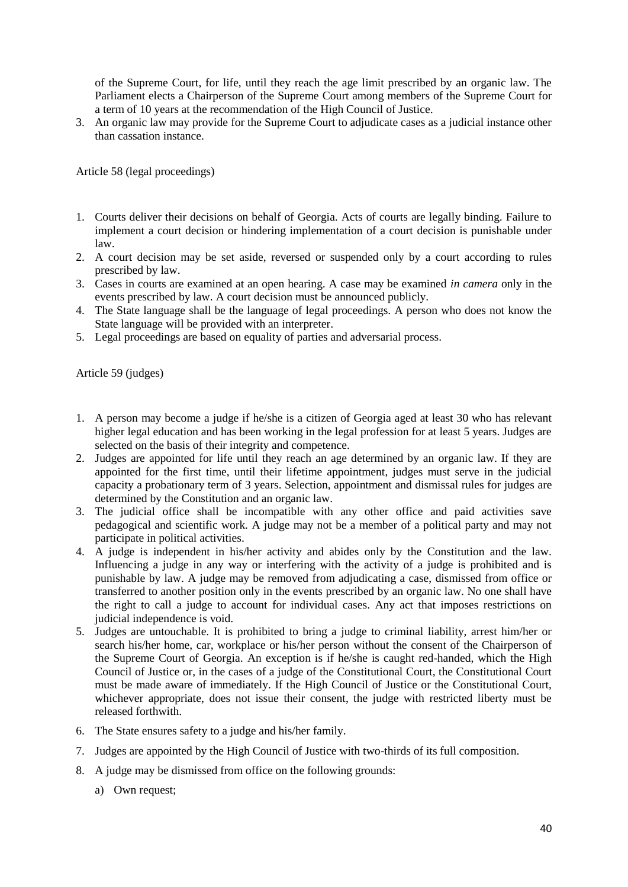of the Supreme Court, for life, until they reach the age limit prescribed by an organic law. The Parliament elects a Chairperson of the Supreme Court among members of the Supreme Court for a term of 10 years at the recommendation of the High Council of Justice.

3. An organic law may provide for the Supreme Court to adjudicate cases as a judicial instance other than cassation instance.

Article 58 (legal proceedings)

- 1. Courts deliver their decisions on behalf of Georgia. Acts of courts are legally binding. Failure to implement a court decision or hindering implementation of a court decision is punishable under law.
- 2. A court decision may be set aside, reversed or suspended only by a court according to rules prescribed by law.
- 3. Cases in courts are examined at an open hearing. A case may be examined *in camera* only in the events prescribed by law. A court decision must be announced publicly.
- 4. The State language shall be the language of legal proceedings. A person who does not know the State language will be provided with an interpreter.
- 5. Legal proceedings are based on equality of parties and adversarial process.

Article 59 (judges)

- 1. A person may become a judge if he/she is a citizen of Georgia aged at least 30 who has relevant higher legal education and has been working in the legal profession for at least 5 years. Judges are selected on the basis of their integrity and competence.
- 2. Judges are appointed for life until they reach an age determined by an organic law. If they are appointed for the first time, until their lifetime appointment, judges must serve in the judicial capacity a probationary term of 3 years. Selection, appointment and dismissal rules for judges are determined by the Constitution and an organic law.
- 3. The judicial office shall be incompatible with any other office and paid activities save pedagogical and scientific work. A judge may not be a member of a political party and may not participate in political activities.
- 4. A judge is independent in his/her activity and abides only by the Constitution and the law. Influencing a judge in any way or interfering with the activity of a judge is prohibited and is punishable by law. A judge may be removed from adjudicating a case, dismissed from office or transferred to another position only in the events prescribed by an organic law. No one shall have the right to call a judge to account for individual cases. Any act that imposes restrictions on judicial independence is void.
- 5. Judges are untouchable. It is prohibited to bring a judge to criminal liability, arrest him/her or search his/her home, car, workplace or his/her person without the consent of the Chairperson of the Supreme Court of Georgia. An exception is if he/she is caught red-handed, which the High Council of Justice or, in the cases of a judge of the Constitutional Court, the Constitutional Court must be made aware of immediately. If the High Council of Justice or the Constitutional Court, whichever appropriate, does not issue their consent, the judge with restricted liberty must be released forthwith.
- 6. The State ensures safety to a judge and his/her family.
- 7. Judges are appointed by the High Council of Justice with two-thirds of its full composition.
- 8. A judge may be dismissed from office on the following grounds:
	- a) Own request;